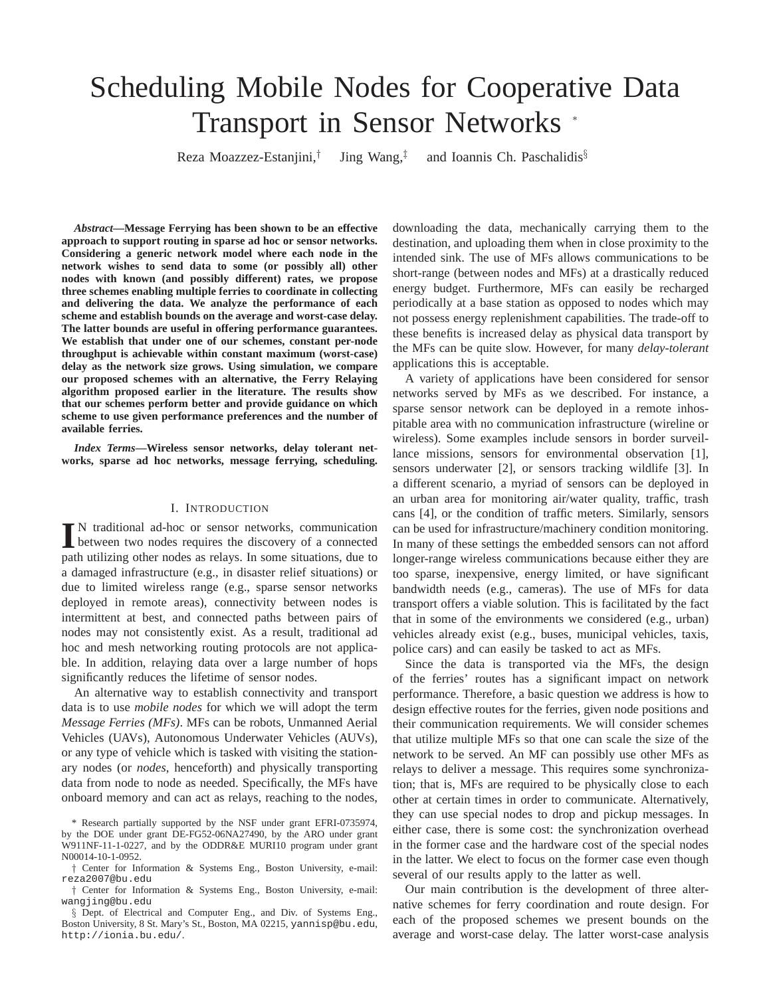# Scheduling Mobile Nodes for Cooperative Data Transport in Sensor Networks <sup>∗</sup>

Reza Moazzez-Estanjini,† Jing Wang,‡ and Ioannis Ch. Paschalidis§

*Abstract***—Message Ferrying has been shown to be an effective approach to support routing in sparse ad hoc or sensor networks. Considering a generic network model where each node in the network wishes to send data to some (or possibly all) other nodes with known (and possibly different) rates, we propose three schemes enabling multiple ferries to coordinate in collecting and delivering the data. We analyze the performance of each scheme and establish bounds on the average and worst-case delay. The latter bounds are useful in offering performance guarantees. We establish that under one of our schemes, constant per-node throughput is achievable within constant maximum (worst-case) delay as the network size grows. Using simulation, we compare our proposed schemes with an alternative, the Ferry Relaying algorithm proposed earlier in the literature. The results show that our schemes perform better and provide guidance on which scheme to use given performance preferences and the number of available ferries.**

*Index Terms***—Wireless sensor networks, delay tolerant networks, sparse ad hoc networks, message ferrying, scheduling.**

## I. INTRODUCTION

I<sup>N</sup> traditional ad-hoc or sensor networks, communication<br>between two nodes requires the discovery of a connected between two nodes requires the discovery of a connected path utilizing other nodes as relays. In some situations, due to a damaged infrastructure (e.g., in disaster relief situations) or due to limited wireless range (e.g., sparse sensor networks deployed in remote areas), connectivity between nodes is intermittent at best, and connected paths between pairs of nodes may not consistently exist. As a result, traditional ad hoc and mesh networking routing protocols are not applicable. In addition, relaying data over a large number of hops significantly reduces the lifetime of sensor nodes.

An alternative way to establish connectivity and transport data is to use *mobile nodes* for which we will adopt the term *Message Ferries (MFs)*. MFs can be robots, Unmanned Aerial Vehicles (UAVs), Autonomous Underwater Vehicles (AUVs), or any type of vehicle which is tasked with visiting the stationary nodes (or *nodes*, henceforth) and physically transporting data from node to node as needed. Specifically, the MFs have onboard memory and can act as relays, reaching to the nodes,

downloading the data, mechanically carrying them to the destination, and uploading them when in close proximity to the intended sink. The use of MFs allows communications to be short-range (between nodes and MFs) at a drastically reduced energy budget. Furthermore, MFs can easily be recharged periodically at a base station as opposed to nodes which may not possess energy replenishment capabilities. The trade-off to these benefits is increased delay as physical data transport by the MFs can be quite slow. However, for many *delay-tolerant* applications this is acceptable.

A variety of applications have been considered for sensor networks served by MFs as we described. For instance, a sparse sensor network can be deployed in a remote inhospitable area with no communication infrastructure (wireline or wireless). Some examples include sensors in border surveillance missions, sensors for environmental observation [1], sensors underwater [2], or sensors tracking wildlife [3]. In a different scenario, a myriad of sensors can be deployed in an urban area for monitoring air/water quality, traffic, trash cans [4], or the condition of traffic meters. Similarly, sensors can be used for infrastructure/machinery condition monitoring. In many of these settings the embedded sensors can not afford longer-range wireless communications because either they are too sparse, inexpensive, energy limited, or have significant bandwidth needs (e.g., cameras). The use of MFs for data transport offers a viable solution. This is facilitated by the fact that in some of the environments we considered (e.g., urban) vehicles already exist (e.g., buses, municipal vehicles, taxis, police cars) and can easily be tasked to act as MFs.

Since the data is transported via the MFs, the design of the ferries' routes has a significant impact on network performance. Therefore, a basic question we address is how to design effective routes for the ferries, given node positions and their communication requirements. We will consider schemes that utilize multiple MFs so that one can scale the size of the network to be served. An MF can possibly use other MFs as relays to deliver a message. This requires some synchronization; that is, MFs are required to be physically close to each other at certain times in order to communicate. Alternatively, they can use special nodes to drop and pickup messages. In either case, there is some cost: the synchronization overhead in the former case and the hardware cost of the special nodes in the latter. We elect to focus on the former case even though several of our results apply to the latter as well.

Our main contribution is the development of three alternative schemes for ferry coordination and route design. For each of the proposed schemes we present bounds on the average and worst-case delay. The latter worst-case analysis

<sup>\*</sup> Research partially supported by the NSF under grant EFRI-0735974, by the DOE under grant DE-FG52-06NA27490, by the ARO under grant W911NF-11-1-0227, and by the ODDR&E MURI10 program under grant N00014-10-1-0952.

<sup>†</sup> Center for Information & Systems Eng., Boston University, e-mail: reza2007@bu.edu

<sup>†</sup> Center for Information & Systems Eng., Boston University, e-mail: wangjing@bu.edu

<sup>§</sup> Dept. of Electrical and Computer Eng., and Div. of Systems Eng., Boston University, 8 St. Mary's St., Boston, MA 02215, yannisp@bu.edu, http://ionia.bu.edu/.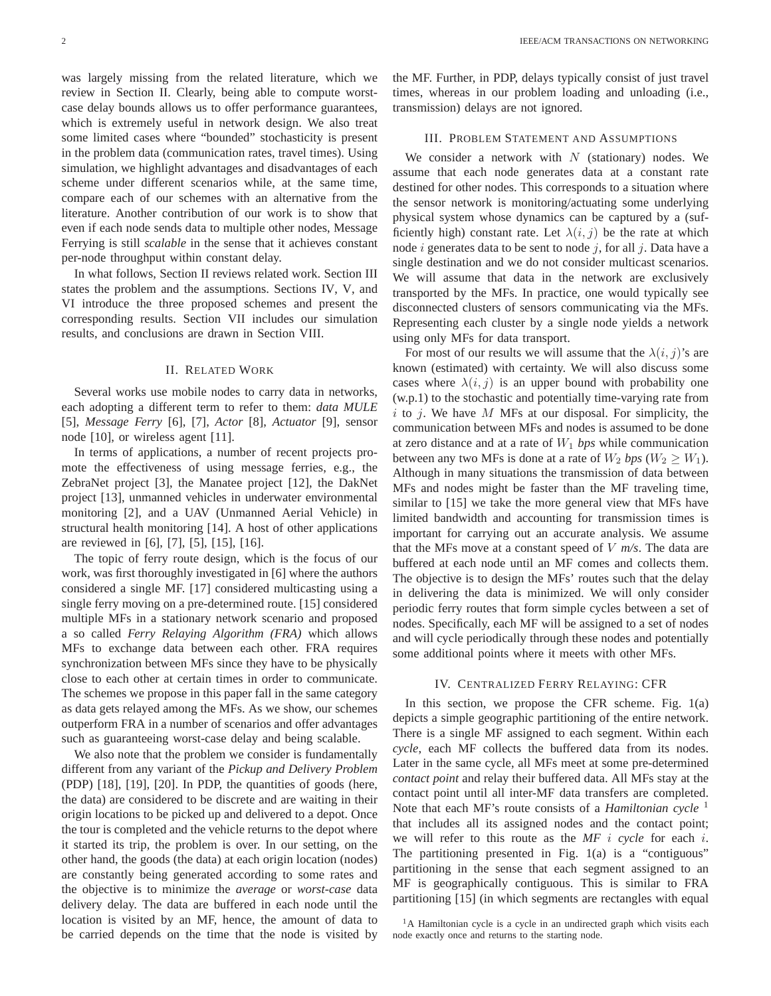was largely missing from the related literature, which we review in Section II. Clearly, being able to compute worstcase delay bounds allows us to offer performance guarantees, which is extremely useful in network design. We also treat some limited cases where "bounded" stochasticity is present in the problem data (communication rates, travel times). Using simulation, we highlight advantages and disadvantages of each scheme under different scenarios while, at the same time, compare each of our schemes with an alternative from the literature. Another contribution of our work is to show that even if each node sends data to multiple other nodes, Message Ferrying is still *scalable* in the sense that it achieves constant per-node throughput within constant delay.

In what follows, Section II reviews related work. Section III states the problem and the assumptions. Sections IV, V, and VI introduce the three proposed schemes and present the corresponding results. Section VII includes our simulation results, and conclusions are drawn in Section VIII.

#### II. RELATED WORK

Several works use mobile nodes to carry data in networks, each adopting a different term to refer to them: *data MULE* [5], *Message Ferry* [6], [7], *Actor* [8], *Actuator* [9], sensor node [10], or wireless agent [11].

In terms of applications, a number of recent projects promote the effectiveness of using message ferries, e.g., the ZebraNet project [3], the Manatee project [12], the DakNet project [13], unmanned vehicles in underwater environmental monitoring [2], and a UAV (Unmanned Aerial Vehicle) in structural health monitoring [14]. A host of other applications are reviewed in [6], [7], [5], [15], [16].

The topic of ferry route design, which is the focus of our work, was first thoroughly investigated in [6] where the authors considered a single MF. [17] considered multicasting using a single ferry moving on a pre-determined route. [15] considered multiple MFs in a stationary network scenario and proposed a so called *Ferry Relaying Algorithm (FRA)* which allows MFs to exchange data between each other. FRA requires synchronization between MFs since they have to be physically close to each other at certain times in order to communicate. The schemes we propose in this paper fall in the same category as data gets relayed among the MFs. As we show, our schemes outperform FRA in a number of scenarios and offer advantages such as guaranteeing worst-case delay and being scalable.

We also note that the problem we consider is fundamentally different from any variant of the *Pickup and Delivery Problem* (PDP) [18], [19], [20]. In PDP, the quantities of goods (here, the data) are considered to be discrete and are waiting in their origin locations to be picked up and delivered to a depot. Once the tour is completed and the vehicle returns to the depot where it started its trip, the problem is over. In our setting, on the other hand, the goods (the data) at each origin location (nodes) are constantly being generated according to some rates and the objective is to minimize the *average* or *worst-case* data delivery delay. The data are buffered in each node until the location is visited by an MF, hence, the amount of data to be carried depends on the time that the node is visited by the MF. Further, in PDP, delays typically consist of just travel times, whereas in our problem loading and unloading (i.e., transmission) delays are not ignored.

### III. PROBLEM STATEMENT AND ASSUMPTIONS

We consider a network with  $N$  (stationary) nodes. We assume that each node generates data at a constant rate destined for other nodes. This corresponds to a situation where the sensor network is monitoring/actuating some underlying physical system whose dynamics can be captured by a (sufficiently high) constant rate. Let  $\lambda(i, j)$  be the rate at which node *i* generates data to be sent to node *j*, for all *j*. Data have a single destination and we do not consider multicast scenarios. We will assume that data in the network are exclusively transported by the MFs. In practice, one would typically see disconnected clusters of sensors communicating via the MFs. Representing each cluster by a single node yields a network using only MFs for data transport.

For most of our results we will assume that the  $\lambda(i,j)$ 's are known (estimated) with certainty. We will also discuss some cases where  $\lambda(i, j)$  is an upper bound with probability one (w.p.1) to the stochastic and potentially time-varying rate from  $i$  to  $j$ . We have  $M$  MFs at our disposal. For simplicity, the communication between MFs and nodes is assumed to be done at zero distance and at a rate of  $W_1$  *bps* while communication between any two MFs is done at a rate of  $W_2$  *bps* ( $W_2 \geq W_1$ ). Although in many situations the transmission of data between MFs and nodes might be faster than the MF traveling time, similar to [15] we take the more general view that MFs have limited bandwidth and accounting for transmission times is important for carrying out an accurate analysis. We assume that the MFs move at a constant speed of V *m/s*. The data are buffered at each node until an MF comes and collects them. The objective is to design the MFs' routes such that the delay in delivering the data is minimized. We will only consider periodic ferry routes that form simple cycles between a set of nodes. Specifically, each MF will be assigned to a set of nodes and will cycle periodically through these nodes and potentially some additional points where it meets with other MFs.

## IV. CENTRALIZED FERRY RELAYING: CFR

In this section, we propose the CFR scheme. Fig.  $1(a)$ depicts a simple geographic partitioning of the entire network. There is a single MF assigned to each segment. Within each *cycle*, each MF collects the buffered data from its nodes. Later in the same cycle, all MFs meet at some pre-determined *contact point* and relay their buffered data. All MFs stay at the contact point until all inter-MF data transfers are completed. Note that each MF's route consists of a *Hamiltonian cycle* <sup>1</sup> that includes all its assigned nodes and the contact point; we will refer to this route as the *MF* i *cycle* for each i. The partitioning presented in Fig. 1(a) is a "contiguous" partitioning in the sense that each segment assigned to an MF is geographically contiguous. This is similar to FRA partitioning [15] (in which segments are rectangles with equal

<sup>&</sup>lt;sup>1</sup>A Hamiltonian cycle is a cycle in an undirected graph which visits each node exactly once and returns to the starting node.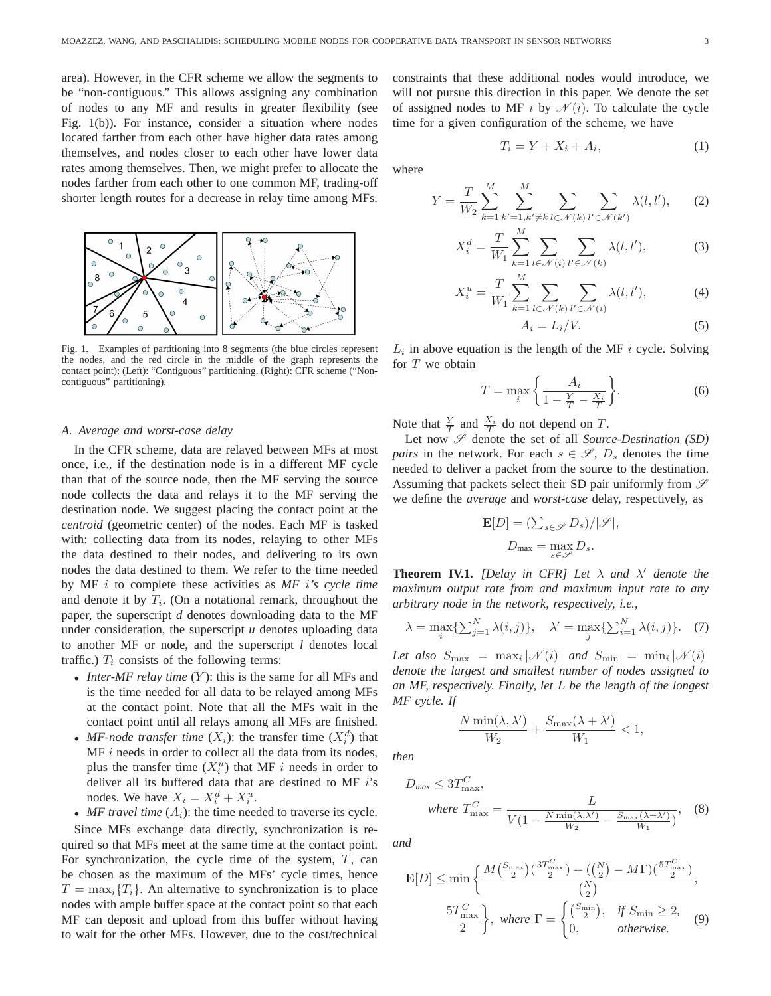area). However, in the CFR scheme we allow the segments to be "non-contiguous." This allows assigning any combination of nodes to any MF and results in greater flexibility (see Fig. 1(b)). For instance, consider a situation where nodes located farther from each other have higher data rates among themselves, and nodes closer to each other have lower data rates among themselves. Then, we might prefer to allocate the nodes farther from each other to one common MF, trading-off shorter length routes for a decrease in relay time among MFs.



Fig. 1. Examples of partitioning into 8 segments (the blue circles represent the nodes, and the red circle in the middle of the graph represents the contact point); (Left): "Contiguous" partitioning. (Right): CFR scheme ("Noncontiguous" partitioning).

#### *A. Average and worst-case delay*

In the CFR scheme, data are relayed between MFs at most once, i.e., if the destination node is in a different MF cycle than that of the source node, then the MF serving the source node collects the data and relays it to the MF serving the destination node. We suggest placing the contact point at the *centroid* (geometric center) of the nodes. Each MF is tasked with: collecting data from its nodes, relaying to other MFs the data destined to their nodes, and delivering to its own nodes the data destined to them. We refer to the time needed by MF i to complete these activities as *MF* i*'s cycle time* and denote it by  $T_i$ . (On a notational remark, throughout the paper, the superscript *d* denotes downloading data to the MF under consideration, the superscript *u* denotes uploading data to another MF or node, and the superscript *l* denotes local traffic.)  $T_i$  consists of the following terms:

- *Inter-MF relay time* (Y): this is the same for all MFs and is the time needed for all data to be relayed among MFs at the contact point. Note that all the MFs wait in the contact point until all relays among all MFs are finished.
- *MF-node transfer time*  $(X_i)$ : the transfer time  $(X_i^d)$  that  $MF i$  needs in order to collect all the data from its nodes, plus the transfer time  $(X_i^u)$  that MF i needs in order to deliver all its buffered data that are destined to MF  $i$ 's nodes. We have  $X_i = X_i^d + X_i^u$ .
- *MF travel time*  $(A_i)$ : the time needed to traverse its cycle.

Since MFs exchange data directly, synchronization is required so that MFs meet at the same time at the contact point. For synchronization, the cycle time of the system,  $T$ , can be chosen as the maximum of the MFs' cycle times, hence  $T = \max_i \{T_i\}$ . An alternative to synchronization is to place nodes with ample buffer space at the contact point so that each MF can deposit and upload from this buffer without having to wait for the other MFs. However, due to the cost/technical constraints that these additional nodes would introduce, we will not pursue this direction in this paper. We denote the set of assigned nodes to MF i by  $\mathcal{N}(i)$ . To calculate the cycle time for a given configuration of the scheme, we have

$$
T_i = Y + X_i + A_i,\tag{1}
$$

where

$$
Y = \frac{T}{W_2} \sum_{k=1}^{M} \sum_{k'=1, k'=1, k' \neq k}^{M} \sum_{l \in \mathcal{N}(k)} \sum_{l' \in \mathcal{N}(k')} \lambda(l, l'), \qquad (2)
$$

$$
X_i^d = \frac{T}{W_1} \sum_{k=1}^M \sum_{l \in \mathcal{N}(i)} \sum_{l' \in \mathcal{N}(k)} \lambda(l, l'),\tag{3}
$$

$$
X_i^u = \frac{T}{W_1} \sum_{k=1}^M \sum_{l \in \mathcal{N}(k)} \sum_{l' \in \mathcal{N}(i)} \lambda(l, l'),\tag{4}
$$

$$
A_i = L_i/V. \tag{5}
$$

 $L_i$  in above equation is the length of the MF i cycle. Solving for  $T$  we obtain

$$
T = \max_{i} \left\{ \frac{A_i}{1 - \frac{Y}{T} - \frac{X_i}{T}} \right\}.
$$
 (6)

Note that  $\frac{Y}{T}$  and  $\frac{X_i}{T}$  do not depend on T.

Let now  $\mathscr S$  denote the set of all *Source-Destination (SD) pairs* in the network. For each  $s \in \mathscr{S}$ ,  $D_s$  denotes the time needed to deliver a packet from the source to the destination. Assuming that packets select their SD pair uniformly from  $\mathscr S$ we define the *average* and *worst-case* delay, respectively, as

$$
\mathbf{E}[D] = \left(\sum_{s \in \mathscr{S}} D_s\right) / |\mathscr{S}|,
$$
  

$$
D_{\text{max}} = \max_{s \in \mathscr{S}} D_s.
$$

**Theorem IV.1.** *[Delay in CFR] Let*  $\lambda$  *and*  $\lambda'$  *denote the maximum output rate from and maximum input rate to any arbitrary node in the network, respectively, i.e.,*

$$
\lambda = \max_{i} \{ \sum_{j=1}^{N} \lambda(i, j) \}, \quad \lambda' = \max_{j} \{ \sum_{i=1}^{N} \lambda(i, j) \}.
$$
 (7)

Let also  $S_{\text{max}} = \max_i |\mathcal{N}(i)|$  and  $S_{\text{min}} = \min_i |\mathcal{N}(i)|$ *denote the largest and smallest number of nodes assigned to an MF, respectively. Finally, let* L *be the length of the longest MF cycle. If*

$$
\frac{N\min(\lambda, \lambda')}{W_2} + \frac{S_{\max}(\lambda + \lambda')}{W_1} < 1,
$$

*then*

$$
D_{\text{max}} \leq 3T_{\text{max}}^C,
$$
  
where 
$$
T_{\text{max}}^C = \frac{L}{V(1 - \frac{N \min(\lambda, \lambda')}{W_2} - \frac{S_{\text{max}}(\lambda + \lambda')}{W_1})},
$$
 (8)

*and*

$$
\mathbf{E}[D] \le \min\left\{\frac{M\binom{S_{\max}}{2}\left(\frac{3T_{\max}^C}{2}\right) + \left(\binom{N}{2} - M\Gamma\right)\left(\frac{5T_{\max}^C}{2}\right)}{\binom{N}{2}},\right\}
$$
\n
$$
\frac{5T_{\max}^C}{2}\right\}, \text{ where } \Gamma = \begin{cases}\n\binom{S_{\min}}{2}, & \text{if } S_{\min} \ge 2, \\
0, & \text{otherwise.}\n\end{cases} \tag{9}
$$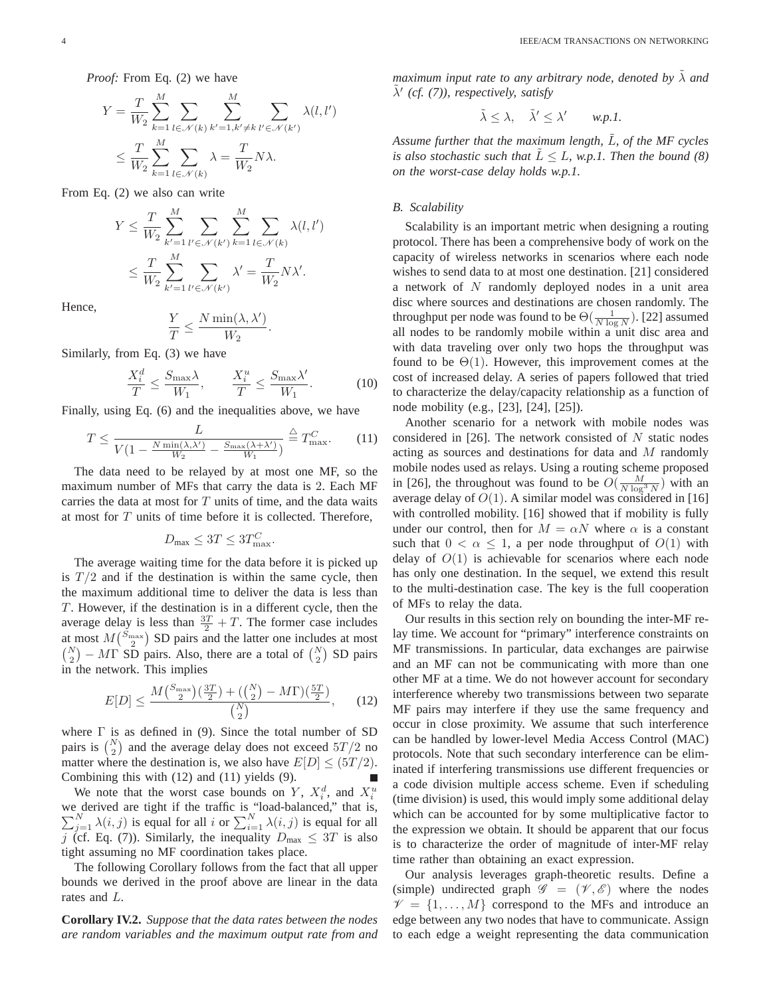*Proof:* From Eq. (2) we have

$$
Y = \frac{T}{W_2} \sum_{k=1}^{M} \sum_{l \in \mathcal{N}(k)} \sum_{k'=1, k' \neq k}^{M} \sum_{l' \in \mathcal{N}(k')} \lambda(l, l')
$$
  

$$
\leq \frac{T}{W_2} \sum_{k=1}^{M} \sum_{l \in \mathcal{N}(k)} \lambda = \frac{T}{W_2} N \lambda.
$$

From Eq. (2) we also can write

$$
Y \leq \frac{T}{W_2} \sum_{k'=1}^{M} \sum_{l' \in \mathcal{N}(k')} \sum_{k=1}^{M} \sum_{l \in \mathcal{N}(k)} \lambda(l, l')
$$
  

$$
\leq \frac{T}{W_2} \sum_{k'=1}^{M} \sum_{l' \in \mathcal{N}(k')} \lambda' = \frac{T}{W_2} N \lambda'.
$$

Hence,

$$
\frac{Y}{T} \leq \frac{N \min(\lambda, \lambda')}{W_2}
$$

Similarly, from Eq. (3) we have

$$
\frac{X_i^d}{T} \le \frac{S_{\text{max}}\lambda}{W_1}, \qquad \frac{X_i^u}{T} \le \frac{S_{\text{max}}\lambda'}{W_1}.
$$
 (10)

.

Finally, using Eq. (6) and the inequalities above, we have

$$
T \le \frac{L}{V(1 - \frac{N \min(\lambda, \lambda')}{W_2} - \frac{S_{\max}(\lambda + \lambda')}{W_1})} \stackrel{\triangle}{=} T_{\max}^C.
$$
 (11)

The data need to be relayed by at most one MF, so the maximum number of MFs that carry the data is 2. Each MF carries the data at most for  $T$  units of time, and the data waits at most for T units of time before it is collected. Therefore,

$$
D_{\text{max}} \le 3T \le 3T_{\text{max}}^C.
$$

The average waiting time for the data before it is picked up is  $T/2$  and if the destination is within the same cycle, then the maximum additional time to deliver the data is less than T. However, if the destination is in a different cycle, then the average delay is less than  $\frac{3T}{2} + T$ . The former case includes at most  $M\binom{S_{\text{max}}}{2}$  SD pairs and the latter one includes at most  $\binom{N}{2}$  – MT SD pairs. Also, there are a total of  $\binom{N}{2}$  SD pairs in the network. This implies

$$
E[D] \le \frac{M\binom{S_{\text{max}}}{2}\left(\frac{3T}{2}\right) + \left(\binom{N}{2} - M\Gamma\right)\left(\frac{5T}{2}\right)}{\binom{N}{2}},\qquad(12)
$$

where  $\Gamma$  is as defined in (9). Since the total number of SD pairs is  $\binom{N}{2}$  and the average delay does not exceed  $5T/2$  no matter where the destination is, we also have  $E[D] \leq (5T/2)$ . Combining this with (12) and (11) yields (9).

We note that the worst case bounds on Y,  $X_i^d$ , and  $X_i^u$ we derived are tight if the traffic is "load-balanced," that i  $\sum$ be derived are tight if the traffic is "load-balanced," that is,  $\sum_{j=1}^{N} \lambda(i, j)$  is equal for all i or  $\sum_{i=1}^{N} \lambda(i, j)$  is equal for all j (cf. Eq. (7)). Similarly, the inequality  $D_{\text{max}} \leq 3T$  is also tight assuming no MF coordination takes place.

The following Corollary follows from the fact that all upper bounds we derived in the proof above are linear in the data rates and L.

**Corollary IV.2.** *Suppose that the data rates between the nodes are random variables and the maximum output rate from and* *maximum input rate to any arbitrary node, denoted by* λ *and* λ˜′ *(cf. (7)), respectively, satisfy*

$$
\tilde{\lambda} \leq \lambda, \quad \tilde{\lambda}' \leq \lambda' \qquad w.p.1.
$$

*Assume further that the maximum length,* L˜*, of the MF cycles is also stochastic such that*  $L \leq L$ *, w.p.1. Then the bound (8) on the worst-case delay holds w.p.1.*

## *B. Scalability*

Scalability is an important metric when designing a routing protocol. There has been a comprehensive body of work on the capacity of wireless networks in scenarios where each node wishes to send data to at most one destination. [21] considered a network of N randomly deployed nodes in a unit area disc where sources and destinations are chosen randomly. The throughput per node was found to be  $\Theta(\frac{1}{N \log N})$ . [22] assumed all nodes to be randomly mobile within a unit disc area and with data traveling over only two hops the throughput was found to be  $\Theta(1)$ . However, this improvement comes at the cost of increased delay. A series of papers followed that tried to characterize the delay/capacity relationship as a function of node mobility (e.g., [23], [24], [25]).

Another scenario for a network with mobile nodes was considered in [26]. The network consisted of  $N$  static nodes acting as sources and destinations for data and M randomly mobile nodes used as relays. Using a routing scheme proposed in [26], the throughout was found to be  $O(\frac{M}{N \log^3 N})$  with an average delay of  $O(1)$ . A similar model was considered in [16] with controlled mobility. [16] showed that if mobility is fully under our control, then for  $M = \alpha N$  where  $\alpha$  is a constant such that  $0 < \alpha \leq 1$ , a per node throughput of  $O(1)$  with delay of  $O(1)$  is achievable for scenarios where each node has only one destination. In the sequel, we extend this result to the multi-destination case. The key is the full cooperation of MFs to relay the data.

Our results in this section rely on bounding the inter-MF relay time. We account for "primary" interference constraints on MF transmissions. In particular, data exchanges are pairwise and an MF can not be communicating with more than one other MF at a time. We do not however account for secondary interference whereby two transmissions between two separate MF pairs may interfere if they use the same frequency and occur in close proximity. We assume that such interference can be handled by lower-level Media Access Control (MAC) protocols. Note that such secondary interference can be eliminated if interfering transmissions use different frequencies or a code division multiple access scheme. Even if scheduling (time division) is used, this would imply some additional delay which can be accounted for by some multiplicative factor to the expression we obtain. It should be apparent that our focus is to characterize the order of magnitude of inter-MF relay time rather than obtaining an exact expression.

Our analysis leverages graph-theoretic results. Define a (simple) undirected graph  $\mathscr{G} = (\mathscr{V}, \mathscr{E})$  where the nodes  $\mathcal{V} = \{1, \ldots, M\}$  correspond to the MFs and introduce an edge between any two nodes that have to communicate. Assign to each edge a weight representing the data communication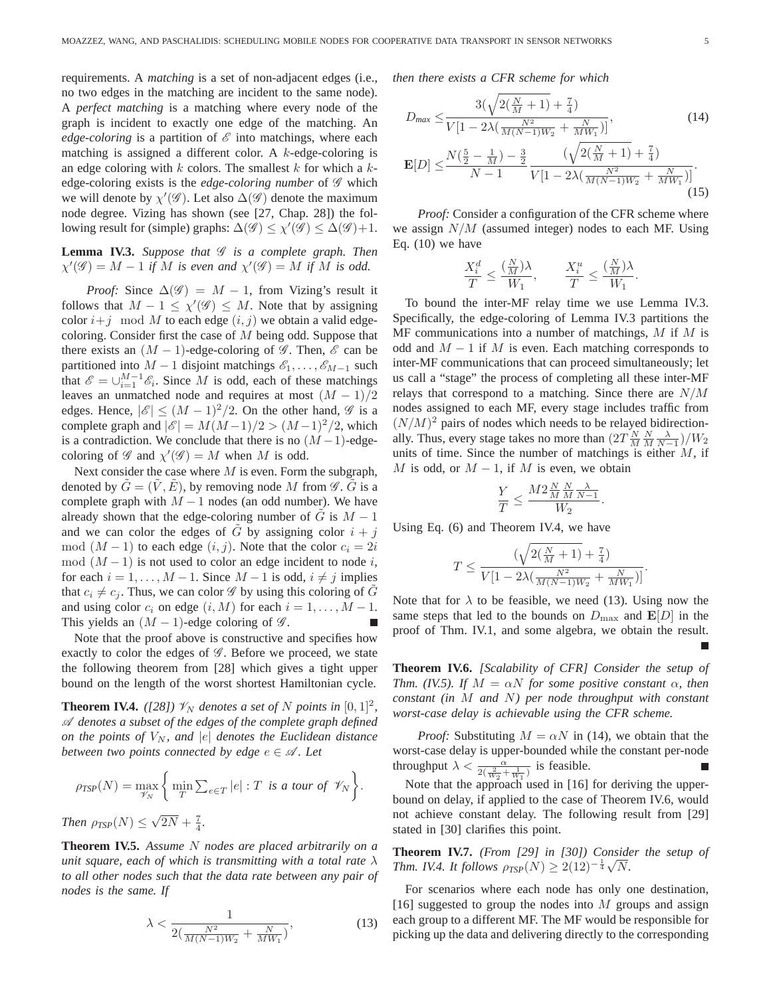requirements. A *matching* is a set of non-adjacent edges (i.e., no two edges in the matching are incident to the same node). A *perfect matching* is a matching where every node of the graph is incident to exactly one edge of the matching. An *edge-coloring* is a partition of  $\mathscr E$  into matchings, where each matching is assigned a different color. A  $k$ -edge-coloring is an edge coloring with  $k$  colors. The smallest  $k$  for which a  $k$ edge-coloring exists is the *edge-coloring number* of  $\mathscr G$  which we will denote by  $\chi'(\mathscr{G})$ . Let also  $\Delta(\mathscr{G})$  denote the maximum node degree. Vizing has shown (see [27, Chap. 28]) the following result for (simple) graphs:  $\Delta(\mathscr{G}) \leq \chi'(\mathscr{G}) \leq \Delta(\mathscr{G}) + 1$ .

**Lemma IV.3.** Suppose that  $\mathscr G$  is a complete graph. Then  $\chi'(\mathscr{G}) = M - 1$  *if* M *is even and*  $\chi'(\mathscr{G}) = M$  *if* M *is odd.* 

*Proof:* Since  $\Delta(\mathscr{G}) = M - 1$ , from Vizing's result it follows that  $M - 1 \leq \chi'(\mathscr{G}) \leq M$ . Note that by assigning color  $i+j \mod M$  to each edge  $(i,j)$  we obtain a valid edgecoloring. Consider first the case of  $M$  being odd. Suppose that there exists an  $(M - 1)$ -edge-coloring of  $\mathscr G$ . Then,  $\mathscr E$  can be partitioned into  $M-1$  disjoint matchings  $\mathscr{E}_1,\ldots,\mathscr{E}_{M-1}$  such that  $\mathscr{E} = \bigcup_{i=1}^{M-1} \mathscr{E}_i$ . Since M is odd, each of these matchings leaves an unmatched node and requires at most  $(M - 1)/2$ edges. Hence,  $|\mathscr{E}| \leq (M-1)^2/2$ . On the other hand,  $\mathscr{G}$  is a complete graph and  $|\mathscr{E}| = M(M-1)/2 > (M-1)^2/2$ , which is a contradiction. We conclude that there is no  $(M-1)$ -edgecoloring of  $\mathscr G$  and  $\chi'(\mathscr G) = M$  when M is odd.

Next consider the case where  $M$  is even. Form the subgraph, denoted by  $G = (V, E)$ , by removing node M from  $\mathscr G$ . G is a complete graph with  $M - 1$  nodes (an odd number). We have already shown that the edge-coloring number of G is  $M - 1$ and we can color the edges of  $\tilde{G}$  by assigning color  $i + j$ mod  $(M-1)$  to each edge  $(i, j)$ . Note that the color  $c_i = 2i$ mod  $(M-1)$  is not used to color an edge incident to node i, for each  $i = 1, \ldots, M - 1$ . Since  $M - 1$  is odd,  $i \neq j$  implies that  $c_i \neq c_j$ . Thus, we can color  $\mathscr G$  by using this coloring of G and using color  $c_i$  on edge  $(i, M)$  for each  $i = 1, \ldots, M - 1$ . This yields an  $(M - 1)$ -edge coloring of  $\mathscr{G}$ .

Note that the proof above is constructive and specifies how exactly to color the edges of  $\mathscr G$ . Before we proceed, we state the following theorem from [28] which gives a tight upper bound on the length of the worst shortest Hamiltonian cycle.

**Theorem IV.4.** ([28])  $\mathcal{V}_N$  denotes a set of N points in  $[0, 1]^2$ , A *denotes a subset of the edges of the complete graph defined on the points of*  $V_N$ , and  $|e|$  *denotes the Euclidean distance between two points connected by edge*  $e \in \mathcal{A}$ . Let

$$
\rho_{TSP}(N) = \max_{\mathscr{V}_N} \left\{ \min_T \sum_{e \in T} |e| : T \text{ is a tour of } \mathscr{V}_N \right\}.
$$

*Then*  $\rho_{TSP}(N) \leq \sqrt{2N} + \frac{7}{4}$ *.* 

**Theorem IV.5.** *Assume* N *nodes are placed arbitrarily on a unit square, each of which is transmitting with a total rate* λ *to all other nodes such that the data rate between any pair of nodes is the same. If*

$$
\lambda < \frac{1}{2(\frac{N^2}{M(N-1)W_2} + \frac{N}{MW_1})},\tag{13}
$$

*then there exists a CFR scheme for which*

$$
D_{max} \le \frac{3(\sqrt{2(\frac{N}{M}+1)} + \frac{7}{4})}{V[1 - 2\lambda(\frac{N^2}{M(N-1)W_2} + \frac{N}{MW_1})]},
$$
(14)  

$$
\mathbf{E}[D] \le \frac{N(\frac{5}{2} - \frac{1}{M}) - \frac{3}{2}}{N - 1} \frac{(\sqrt{2(\frac{N}{M}+1)} + \frac{7}{4})}{V[1 - 2\lambda(\frac{N^2}{M(N-1)W_2} + \frac{N}{MW_1})]}.
$$
(15)

*Proof:* Consider a configuration of the CFR scheme where we assign  $N/M$  (assumed integer) nodes to each MF. Using Eq.  $(10)$  we have

$$
\frac{X_i^d}{T} \le \frac{(\frac{N}{M})\lambda}{W_1}, \qquad \frac{X_i^u}{T} \le \frac{(\frac{N}{M})\lambda}{W_1}.
$$

To bound the inter-MF relay time we use Lemma IV.3. Specifically, the edge-coloring of Lemma IV.3 partitions the  $MF$  communications into a number of matchings,  $M$  if  $M$  is odd and  $M - 1$  if M is even. Each matching corresponds to inter-MF communications that can proceed simultaneously; let us call a "stage" the process of completing all these inter-MF relays that correspond to a matching. Since there are N/M nodes assigned to each MF, every stage includes traffic from  $(N/M)^2$  pairs of nodes which needs to be relayed bidirectionally. Thus, every stage takes no more than  $\left(2T \frac{N}{M} \frac{N}{M} \frac{\lambda}{N-1}\right)/W_2$ units of time. Since the number of matchings is either  $M$ , if M is odd, or  $M - 1$ , if M is even, we obtain

$$
\frac{Y}{T} \le \frac{M 2 \frac{N}{M} \frac{N}{M} \frac{\lambda}{N-1}}{W_2}.
$$

Using Eq. (6) and Theorem IV.4, we have

$$
T \le \frac{(\sqrt{2(\frac{N}{M} + 1)} + \frac{7}{4})}{V[1 - 2\lambda(\frac{N^2}{M(N-1)W_2} + \frac{N}{MW_1})]}.
$$

Note that for  $\lambda$  to be feasible, we need (13). Using now the same steps that led to the bounds on  $D_{\text{max}}$  and  $\mathbf{E}[D]$  in the proof of Thm. IV.1, and some algebra, we obtain the result.

**Theorem IV.6.** *[Scalability of CFR] Consider the setup of Thm. (IV.5). If*  $M = \alpha N$  *for some positive constant*  $\alpha$ *, then constant (in* M *and* N*) per node throughput with constant worst-case delay is achievable using the CFR scheme.*

*Proof:* Substituting  $M = \alpha N$  in (14), we obtain that the worst-case delay is upper-bounded while the constant per-node throughput  $\lambda < \frac{\alpha}{2(\frac{2}{W_2} + \frac{1}{W_1})}$  is feasible.

Note that the approach used in [16] for deriving the upperbound on delay, if applied to the case of Theorem IV.6, would not achieve constant delay. The following result from [29] stated in [30] clarifies this point.

**Theorem IV.7.** *(From [29] in [30]) Consider the setup of Thm. IV.4. It follows*  $\rho_{TSP}(N) \geq 2(12)^{-\frac{1}{4}}\sqrt{N}$ .

For scenarios where each node has only one destination, [16] suggested to group the nodes into  $M$  groups and assign each group to a different MF. The MF would be responsible for picking up the data and delivering directly to the corresponding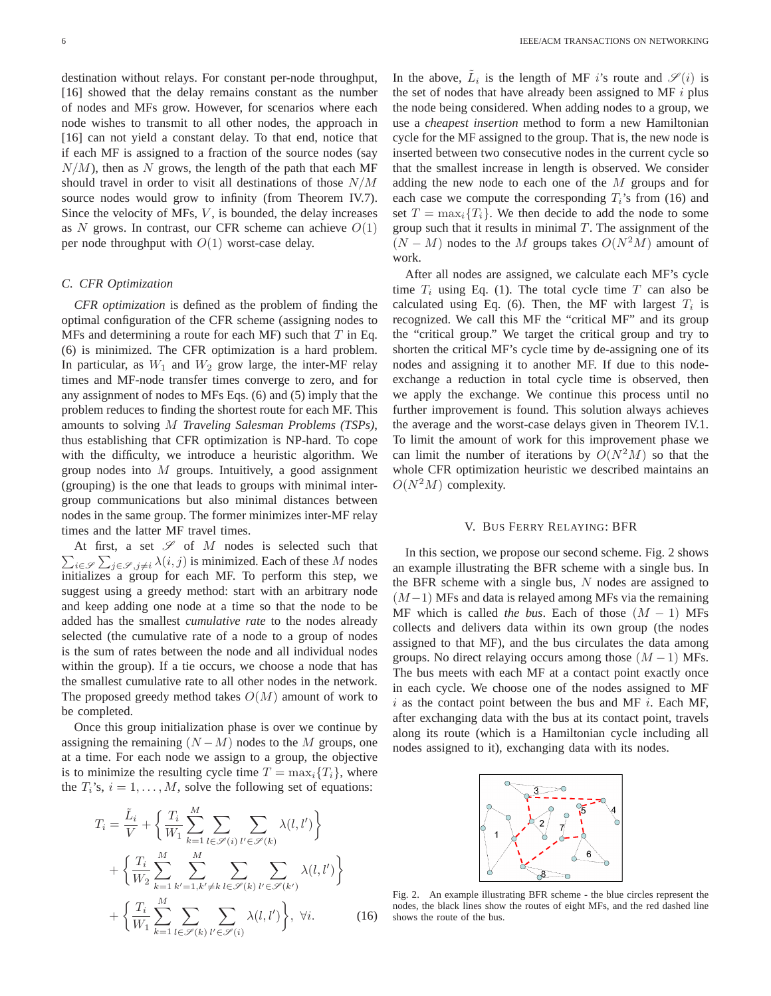destination without relays. For constant per-node throughput, [16] showed that the delay remains constant as the number of nodes and MFs grow. However, for scenarios where each node wishes to transmit to all other nodes, the approach in [16] can not yield a constant delay. To that end, notice that if each MF is assigned to a fraction of the source nodes (say  $N/M$ ), then as N grows, the length of the path that each MF should travel in order to visit all destinations of those  $N/M$ source nodes would grow to infinity (from Theorem IV.7). Since the velocity of MFs,  $V$ , is bounded, the delay increases as  $N$  grows. In contrast, our CFR scheme can achieve  $O(1)$ per node throughput with  $O(1)$  worst-case delay.

# *C. CFR Optimization*

*CFR optimization* is defined as the problem of finding the optimal configuration of the CFR scheme (assigning nodes to MFs and determining a route for each MF) such that  $T$  in Eq. (6) is minimized. The CFR optimization is a hard problem. In particular, as  $W_1$  and  $W_2$  grow large, the inter-MF relay times and MF-node transfer times converge to zero, and for any assignment of nodes to MFs Eqs. (6) and (5) imply that the problem reduces to finding the shortest route for each MF. This amounts to solving M *Traveling Salesman Problems (TSPs)*, thus establishing that CFR optimization is NP-hard. To cope with the difficulty, we introduce a heuristic algorithm. We group nodes into  $M$  groups. Intuitively, a good assignment (grouping) is the one that leads to groups with minimal intergroup communications but also minimal distances between nodes in the same group. The former minimizes inter-MF relay times and the latter MF travel times.

 $\sum_{i \in \mathscr{S}} \sum_{j \in \mathscr{S}, j \neq i} \lambda(i, j)$  is minimized. Each of these M nodes At first, a set  $\mathscr S$  of  $M$  nodes is selected such that initializes a group for each MF. To perform this step, we suggest using a greedy method: start with an arbitrary node and keep adding one node at a time so that the node to be added has the smallest *cumulative rate* to the nodes already selected (the cumulative rate of a node to a group of nodes is the sum of rates between the node and all individual nodes within the group). If a tie occurs, we choose a node that has the smallest cumulative rate to all other nodes in the network. The proposed greedy method takes  $O(M)$  amount of work to be completed.

Once this group initialization phase is over we continue by assigning the remaining  $(N-M)$  nodes to the M groups, one at a time. For each node we assign to a group, the objective is to minimize the resulting cycle time  $T = \max_i \{T_i\}$ , where the  $T_i$ 's,  $i = 1, \ldots, M$ , solve the following set of equations:

$$
T_i = \frac{\tilde{L}_i}{V} + \left\{ \frac{T_i}{W_1} \sum_{k=1}^M \sum_{l \in \mathcal{S}(i)} \sum_{l' \in \mathcal{S}(k)} \lambda(l, l') \right\} + \left\{ \frac{T_i}{W_2} \sum_{k=1}^M \sum_{k'=1, k' \neq k} \sum_{l \in \mathcal{S}(k)} \sum_{l' \in \mathcal{S}(k')} \lambda(l, l') \right\} + \left\{ \frac{T_i}{W_1} \sum_{k=1}^M \sum_{l \in \mathcal{S}(k)} \sum_{l' \in \mathcal{S}(i)} \lambda(l, l') \right\}, \ \forall i. \tag{16}
$$

In the above,  $\tilde{L}_i$  is the length of MF *i*'s route and  $\mathscr{S}(i)$  is the set of nodes that have already been assigned to MF  $i$  plus the node being considered. When adding nodes to a group, we use a *cheapest insertion* method to form a new Hamiltonian cycle for the MF assigned to the group. That is, the new node is inserted between two consecutive nodes in the current cycle so that the smallest increase in length is observed. We consider adding the new node to each one of the M groups and for each case we compute the corresponding  $T_i$ 's from (16) and set  $T = \max_i \{T_i\}$ . We then decide to add the node to some group such that it results in minimal  $T$ . The assignment of the  $(N - M)$  nodes to the M groups takes  $O(N^2M)$  amount of work.

After all nodes are assigned, we calculate each MF's cycle time  $T_i$  using Eq. (1). The total cycle time  $T$  can also be calculated using Eq. (6). Then, the MF with largest  $T_i$  is recognized. We call this MF the "critical MF" and its group the "critical group." We target the critical group and try to shorten the critical MF's cycle time by de-assigning one of its nodes and assigning it to another MF. If due to this nodeexchange a reduction in total cycle time is observed, then we apply the exchange. We continue this process until no further improvement is found. This solution always achieves the average and the worst-case delays given in Theorem IV.1. To limit the amount of work for this improvement phase we can limit the number of iterations by  $O(N^2M)$  so that the whole CFR optimization heuristic we described maintains an  $O(N^2M)$  complexity.

# V. BUS FERRY RELAYING: BFR

In this section, we propose our second scheme. Fig. 2 shows an example illustrating the BFR scheme with a single bus. In the BFR scheme with a single bus,  $N$  nodes are assigned to  $(M-1)$  MFs and data is relayed among MFs via the remaining MF which is called *the bus*. Each of those  $(M - 1)$  MFs collects and delivers data within its own group (the nodes assigned to that MF), and the bus circulates the data among groups. No direct relaying occurs among those  $(M - 1)$  MFs. The bus meets with each MF at a contact point exactly once in each cycle. We choose one of the nodes assigned to MF  $i$  as the contact point between the bus and MF  $i$ . Each MF, after exchanging data with the bus at its contact point, travels along its route (which is a Hamiltonian cycle including all nodes assigned to it), exchanging data with its nodes.



Fig. 2. An example illustrating BFR scheme - the blue circles represent the nodes, the black lines show the routes of eight MFs, and the red dashed line shows the route of the bus.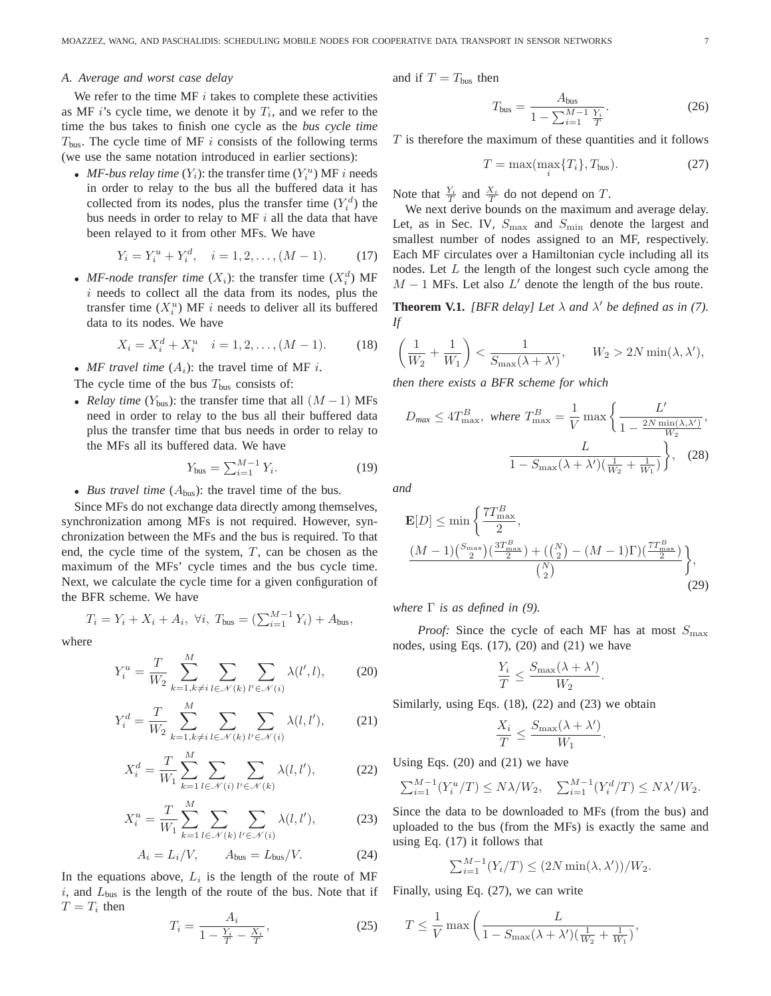#### *A. Average and worst case delay*

We refer to the time MF  $i$  takes to complete these activities as MF  $i$ 's cycle time, we denote it by  $T_i$ , and we refer to the time the bus takes to finish one cycle as the *bus cycle time*  $T_{\text{bus}}$ . The cycle time of MF i consists of the following terms (we use the same notation introduced in earlier sections):

• *MF-bus relay time*  $(Y_i)$ : the transfer time  $(Y_i^u)$  MF *i* needs in order to relay to the bus all the buffered data it has collected from its nodes, plus the transfer time  $(Y_i^d)$  the bus needs in order to relay to MF  $i$  all the data that have been relayed to it from other MFs. We have

$$
Y_i = Y_i^u + Y_i^d, \quad i = 1, 2, \dots, (M - 1). \tag{17}
$$

• *MF-node transfer time*  $(X_i)$ : the transfer time  $(X_i^d)$  MF  $i$  needs to collect all the data from its nodes, plus the transfer time  $(X_i^u)$  MF *i* needs to deliver all its buffered data to its nodes. We have

$$
X_i = X_i^d + X_i^u \quad i = 1, 2, \dots, (M - 1). \tag{18}
$$

• *MF travel time*  $(A_i)$ : the travel time of MF *i*.

The cycle time of the bus  $T_{\text{bus}}$  consists of:

• *Relay time* ( $Y_{bus}$ ): the transfer time that all  $(M - 1)$  MFs need in order to relay to the bus all their buffered data plus the transfer time that bus needs in order to relay to the MFs all its buffered data. We have

$$
Y_{\text{bus}} = \sum_{i=1}^{M-1} Y_i.
$$
 (19)

• *Bus travel time*  $(A_{bus})$ : the travel time of the bus.

Since MFs do not exchange data directly among themselves, synchronization among MFs is not required. However, synchronization between the MFs and the bus is required. To that end, the cycle time of the system,  $T$ , can be chosen as the maximum of the MFs' cycle times and the bus cycle time. Next, we calculate the cycle time for a given configuration of the BFR scheme. We have

$$
T_i = Y_i + X_i + A_i
$$
,  $\forall i$ ,  $T_{bus} = (\sum_{i=1}^{M-1} Y_i) + A_{bus}$ ,

where

$$
Y_i^u = \frac{T}{W_2} \sum_{k=1, k \neq i}^{M} \sum_{l \in \mathcal{N}(k)} \sum_{l' \in \mathcal{N}(i)} \lambda(l', l), \qquad (20)
$$

$$
Y_i^d = \frac{T}{W_2} \sum_{k=1, k \neq i}^{M} \sum_{l \in \mathcal{N}(k)} \sum_{l' \in \mathcal{N}(i)} \lambda(l, l'), \qquad (21)
$$

$$
X_i^d = \frac{T}{W_1} \sum_{k=1}^M \sum_{l \in \mathcal{N}(i)} \sum_{l' \in \mathcal{N}(k)} \lambda(l, l'),\tag{22}
$$

$$
X_i^u = \frac{T}{W_1} \sum_{k=1}^M \sum_{l \in \mathcal{N}(k)} \sum_{l' \in \mathcal{N}(i)} \lambda(l, l'),\tag{23}
$$

$$
A_i = L_i/V, \qquad A_{bus} = L_{bus}/V.
$$
 (24)

In the equations above,  $L_i$  is the length of the route of MF  $i$ , and  $L_{bus}$  is the length of the route of the bus. Note that if  $T = T_i$  then

$$
T_i = \frac{A_i}{1 - \frac{Y_i}{T} - \frac{X_i}{T}},
$$
\n(25)

and if  $T = T_{bus}$  then

$$
T_{\text{bus}} = \frac{A_{\text{bus}}}{1 - \sum_{i=1}^{M-1} \frac{Y_i}{T}}.
$$
 (26)

 $T$  is therefore the maximum of these quantities and it follows

$$
T = \max(\max_{i} \{T_i\}, T_{\text{bus}}). \tag{27}
$$

Note that  $\frac{Y_i}{T}$  and  $\frac{X_i}{T}$  do not depend on T.

We next derive bounds on the maximum and average delay. Let, as in Sec. IV,  $S_{\text{max}}$  and  $S_{\text{min}}$  denote the largest and smallest number of nodes assigned to an MF, respectively. Each MF circulates over a Hamiltonian cycle including all its nodes. Let  $L$  the length of the longest such cycle among the  $M - 1$  MFs. Let also  $L'$  denote the length of the bus route.

**Theorem V.1.** *[BFR delay] Let*  $\lambda$  *and*  $\lambda'$  *be defined as in (7). If*

$$
\left(\frac{1}{W_2} + \frac{1}{W_1}\right) < \frac{1}{S_{\text{max}}(\lambda + \lambda')}, \qquad W_2 > 2N \min(\lambda, \lambda'),
$$

*then there exists a BFR scheme for which*

$$
D_{\text{max}} \le 4T_{\text{max}}^B, \text{ where } T_{\text{max}}^B = \frac{1}{V} \max \left\{ \frac{L'}{1 - \frac{2N \min(\lambda, \lambda')}{W_2}}, \frac{L}{1 - S_{\text{max}}(\lambda + \lambda')(\frac{1}{W_2} + \frac{1}{W_1})} \right\}, \quad (28)
$$

*and*

$$
\mathbf{E}[D] \le \min\left\{\frac{7T_{\text{max}}^B}{2}, \frac{(M-1)\binom{S_{\text{max}}}{2}\left(\frac{3T_{\text{max}}^B}{2}\right) + \left(\binom{N}{2} - (M-1)\Gamma\right)\left(\frac{7T_{\text{max}}^B}{2}\right)}{\binom{N}{2}} \right\},\tag{29}
$$

*where* Γ *is as defined in (9).*

*Proof:* Since the cycle of each MF has at most  $S_{\text{max}}$ nodes, using Eqs. (17), (20) and (21) we have

$$
\frac{Y_i}{T} \le \frac{S_{\text{max}}(\lambda + \lambda')}{W_2}.
$$

Similarly, using Eqs. (18), (22) and (23) we obtain

$$
\frac{X_i}{T} \le \frac{S_{\max}(\lambda + \lambda')}{W_1}.
$$

Using Eqs. (20) and (21) we have

$$
\sum_{i=1}^{M-1} (Y_i^u/T) \le N\lambda/W_2, \quad \sum_{i=1}^{M-1} (Y_i^d/T) \le N\lambda'/W_2.
$$

Since the data to be downloaded to MFs (from the bus) and uploaded to the bus (from the MFs) is exactly the same and using Eq. (17) it follows that

$$
\sum_{i=1}^{M-1} (Y_i/T) \le (2N \min(\lambda, \lambda'))/W_2.
$$

Finally, using Eq. (27), we can write

$$
T \le \frac{1}{V} \max\left(\frac{L}{1 - S_{\max}(\lambda + \lambda')(\frac{1}{W_2} + \frac{1}{W_1})},\right)
$$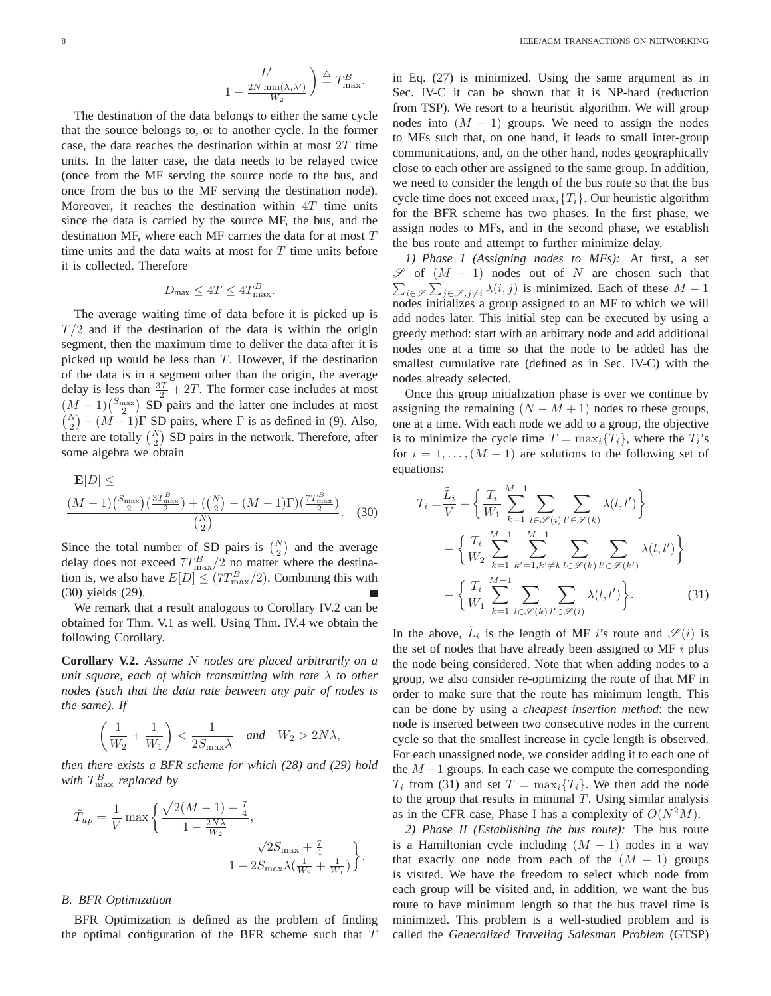$$
\frac{L'}{1 - \frac{2N \min(\lambda, \lambda')}{W_2}} \bigg) \stackrel{\triangle}{=} T_{\max}^B.
$$

The destination of the data belongs to either the same cycle that the source belongs to, or to another cycle. In the former case, the data reaches the destination within at most  $2T$  time units. In the latter case, the data needs to be relayed twice (once from the MF serving the source node to the bus, and once from the bus to the MF serving the destination node). Moreover, it reaches the destination within  $4T$  time units since the data is carried by the source MF, the bus, and the destination MF, where each MF carries the data for at most  $T$ time units and the data waits at most for  $T$  time units before it is collected. Therefore

$$
D_{\max} \le 4T \le 4T_{\max}^B.
$$

The average waiting time of data before it is picked up is  $T/2$  and if the destination of the data is within the origin segment, then the maximum time to deliver the data after it is picked up would be less than  $T$ . However, if the destination of the data is in a segment other than the origin, the average delay is less than  $\frac{3T}{2} + 2T$ . The former case includes at most  $(M-1)\binom{S_{\text{max}}}{2}$  SD pairs and the latter one includes at most  $\binom{N}{2} - (M-1)\Gamma$  SD pairs, where  $\Gamma$  is as defined in (9). Also, there are totally  $\binom{N}{2}$  SD pairs in the network. Therefore, after some algebra we obtain

$$
\frac{\mathbf{E}[D] \leq \frac{(M-1)\binom{S_{\text{max}}}{2}\binom{3T_{\text{max}}^B}{2} + \left(\binom{N}{2} - (M-1)\Gamma\right)\binom{7T_{\text{max}}^B}{2}}{\binom{N}{2}}.
$$
(30)

Since the total number of SD pairs is  $\binom{N}{2}$  and the average delay does not exceed  $7T_{\text{max}}^B/2$  no matter where the destination is, we also have  $E[D] \leq (7T_{\text{max}}^B/2)$ . Combining this with (30) yields (29).

We remark that a result analogous to Corollary IV.2 can be obtained for Thm. V.1 as well. Using Thm. IV.4 we obtain the following Corollary.

**Corollary V.2.** *Assume* N *nodes are placed arbitrarily on a unit square, each of which transmitting with rate* λ *to other nodes (such that the data rate between any pair of nodes is the same). If*

$$
\left(\frac{1}{W_2} + \frac{1}{W_1}\right) < \frac{1}{2S_{\text{max}}\lambda} \quad \text{and} \quad W_2 > 2N\lambda,
$$

*then there exists a BFR scheme for which (28) and (29) hold* with  $T_{\rm max}^B$  *replaced by* 

$$
\tilde{T}_{up} = \frac{1}{V} \max \left\{ \frac{\sqrt{2(M-1)} + \frac{7}{4}}{1 - \frac{2N\lambda}{W_2}}, \frac{\sqrt{2S_{\text{max}}} + \frac{7}{4}}{1 - 2S_{\text{max}}\lambda(\frac{1}{W_2} + \frac{1}{W_1})} \right\}.
$$

#### *B. BFR Optimization*

BFR Optimization is defined as the problem of finding the optimal configuration of the BFR scheme such that  $T$ 

in Eq. (27) is minimized. Using the same argument as in Sec. IV-C it can be shown that it is NP-hard (reduction from TSP). We resort to a heuristic algorithm. We will group nodes into  $(M - 1)$  groups. We need to assign the nodes to MFs such that, on one hand, it leads to small inter-group communications, and, on the other hand, nodes geographically close to each other are assigned to the same group. In addition, we need to consider the length of the bus route so that the bus cycle time does not exceed  $\max_i \{T_i\}$ . Our heuristic algorithm for the BFR scheme has two phases. In the first phase, we assign nodes to MFs, and in the second phase, we establish the bus route and attempt to further minimize delay.

*1) Phase I (Assigning nodes to MFs):* At first, a set  $\mathscr{S}$  of  $(M - 1)$  nodes out of N are chosen such that  $\sum_{i \in \mathscr{S}} \sum_{j \in \mathscr{S}, j \neq i} \lambda(i, j)$  is minimized. Each of these  $M - 1$ nodes initializes a group assigned to an MF to which we will add nodes later. This initial step can be executed by using a greedy method: start with an arbitrary node and add additional nodes one at a time so that the node to be added has the smallest cumulative rate (defined as in Sec. IV-C) with the nodes already selected.

Once this group initialization phase is over we continue by assigning the remaining  $(N - M + 1)$  nodes to these groups, one at a time. With each node we add to a group, the objective is to minimize the cycle time  $T = \max_i \{T_i\}$ , where the  $T_i$ 's for  $i = 1, \ldots, (M - 1)$  are solutions to the following set of equations:

$$
T_{i} = \frac{\tilde{L}_{i}}{V} + \left\{ \frac{T_{i}}{W_{1}} \sum_{k=1}^{M-1} \sum_{l \in \mathcal{S}(i)} \sum_{l' \in \mathcal{S}(k)} \lambda(l, l') \right\} + \left\{ \frac{T_{i}}{W_{2}} \sum_{k=1}^{M-1} \sum_{k'=1, k' \neq k} \sum_{l \in \mathcal{S}(k)} \sum_{l' \in \mathcal{S}(k')} \lambda(l, l') \right\} + \left\{ \frac{T_{i}}{W_{1}} \sum_{k=1}^{M-1} \sum_{l \in \mathcal{S}(k)} \sum_{l' \in \mathcal{S}(i)} \lambda(l, l') \right\}.
$$
 (31)

In the above,  $\tilde{L}_i$  is the length of MF *i*'s route and  $\mathscr{S}(i)$  is the set of nodes that have already been assigned to MF  $i$  plus the node being considered. Note that when adding nodes to a group, we also consider re-optimizing the route of that MF in order to make sure that the route has minimum length. This can be done by using a *cheapest insertion method*: the new node is inserted between two consecutive nodes in the current cycle so that the smallest increase in cycle length is observed. For each unassigned node, we consider adding it to each one of the  $M-1$  groups. In each case we compute the corresponding  $T_i$  from (31) and set  $T = \max_i \{T_i\}$ . We then add the node to the group that results in minimal  $T$ . Using similar analysis as in the CFR case, Phase I has a complexity of  $O(N^2M)$ .

*2) Phase II (Establishing the bus route):* The bus route is a Hamiltonian cycle including  $(M - 1)$  nodes in a way that exactly one node from each of the  $(M - 1)$  groups is visited. We have the freedom to select which node from each group will be visited and, in addition, we want the bus route to have minimum length so that the bus travel time is minimized. This problem is a well-studied problem and is called the *Generalized Traveling Salesman Problem* (GTSP)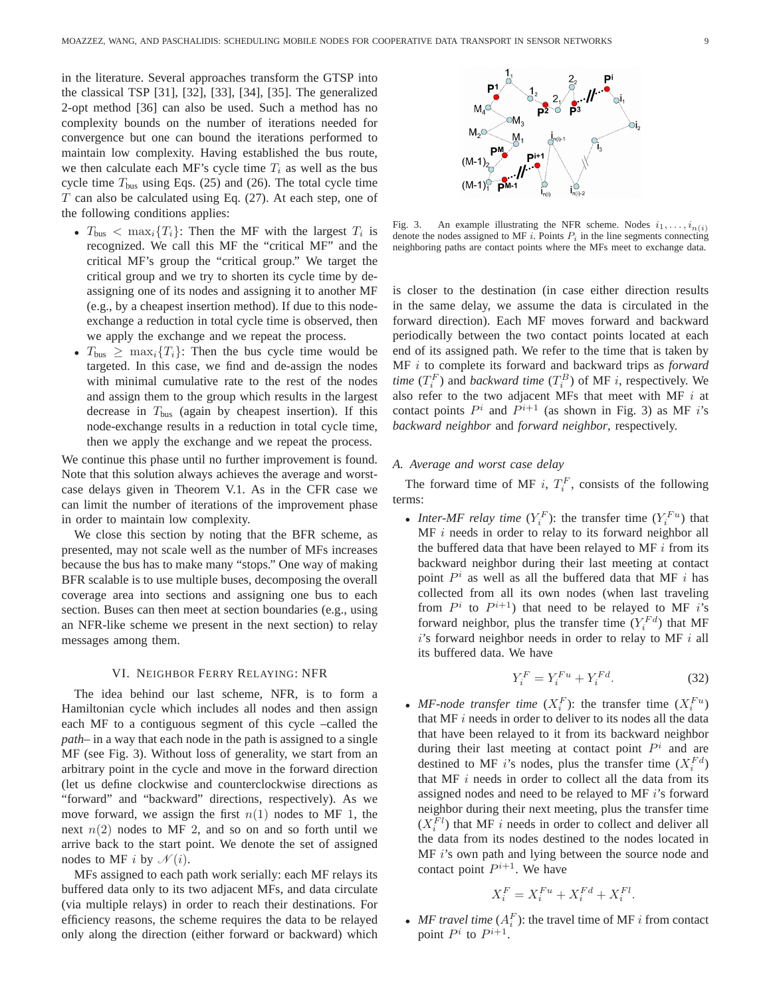in the literature. Several approaches transform the GTSP into the classical TSP [31], [32], [33], [34], [35]. The generalized 2-opt method [36] can also be used. Such a method has no complexity bounds on the number of iterations needed for convergence but one can bound the iterations performed to maintain low complexity. Having established the bus route, we then calculate each MF's cycle time  $T_i$  as well as the bus cycle time  $T_{bus}$  using Eqs. (25) and (26). The total cycle time  $T$  can also be calculated using Eq. (27). At each step, one of the following conditions applies:

- $T_{\text{bus}} < \max_i \{T_i\}$ : Then the MF with the largest  $T_i$  is recognized. We call this MF the "critical MF" and the critical MF's group the "critical group." We target the critical group and we try to shorten its cycle time by deassigning one of its nodes and assigning it to another MF (e.g., by a cheapest insertion method). If due to this nodeexchange a reduction in total cycle time is observed, then we apply the exchange and we repeat the process.
- $T_{bus} \geq \max_i \{T_i\}$ : Then the bus cycle time would be targeted. In this case, we find and de-assign the nodes with minimal cumulative rate to the rest of the nodes and assign them to the group which results in the largest decrease in  $T_{bus}$  (again by cheapest insertion). If this node-exchange results in a reduction in total cycle time, then we apply the exchange and we repeat the process.

We continue this phase until no further improvement is found. Note that this solution always achieves the average and worstcase delays given in Theorem V.1. As in the CFR case we can limit the number of iterations of the improvement phase in order to maintain low complexity.

We close this section by noting that the BFR scheme, as presented, may not scale well as the number of MFs increases because the bus has to make many "stops." One way of making BFR scalable is to use multiple buses, decomposing the overall coverage area into sections and assigning one bus to each section. Buses can then meet at section boundaries (e.g., using an NFR-like scheme we present in the next section) to relay messages among them.

### VI. NEIGHBOR FERRY RELAYING: NFR

The idea behind our last scheme, NFR, is to form a Hamiltonian cycle which includes all nodes and then assign each MF to a contiguous segment of this cycle –called the *path*– in a way that each node in the path is assigned to a single MF (see Fig. 3). Without loss of generality, we start from an arbitrary point in the cycle and move in the forward direction (let us define clockwise and counterclockwise directions as "forward" and "backward" directions, respectively). As we move forward, we assign the first  $n(1)$  nodes to MF 1, the next  $n(2)$  nodes to MF 2, and so on and so forth until we arrive back to the start point. We denote the set of assigned nodes to MF i by  $\mathcal{N}(i)$ .

MFs assigned to each path work serially: each MF relays its buffered data only to its two adjacent MFs, and data circulate (via multiple relays) in order to reach their destinations. For efficiency reasons, the scheme requires the data to be relayed only along the direction (either forward or backward) which



Fig. 3. An example illustrating the NFR scheme. Nodes  $i_1, \ldots, i_{n(i)}$ denote the nodes assigned to MF i. Points  $P_i$  in the line segments connecting neighboring paths are contact points where the MFs meet to exchange data.

is closer to the destination (in case either direction results in the same delay, we assume the data is circulated in the forward direction). Each MF moves forward and backward periodically between the two contact points located at each end of its assigned path. We refer to the time that is taken by MF i to complete its forward and backward trips as *forward time*  $(T_i^F)$  and *backward time*  $(T_i^B)$  of MF *i*, respectively. We also refer to the two adjacent MFs that meet with MF  $i$  at contact points  $P^i$  and  $P^{i+1}$  (as shown in Fig. 3) as MF i's *backward neighbor* and *forward neighbor*, respectively.

## *A. Average and worst case delay*

The forward time of MF i,  $T_i^F$ , consists of the following terms:

• *Inter-MF relay time*  $(Y_i^F)$ : the transfer time  $(Y_i^{Fu})$  that  $MF$  *i* needs in order to relay to its forward neighbor all the buffered data that have been relayed to MF  $i$  from its backward neighbor during their last meeting at contact point  $P^i$  as well as all the buffered data that MF i has collected from all its own nodes (when last traveling from  $P^i$  to  $P^{i+1}$ ) that need to be relayed to MF i's forward neighbor, plus the transfer time  $(Y_i^{Fd})$  that MF  $i$ 's forward neighbor needs in order to relay to MF  $i$  all its buffered data. We have

$$
Y_i^F = Y_i^{Fu} + Y_i^{Fd}.\tag{32}
$$

• *MF-node transfer time*  $(X_i^F)$ : the transfer time  $(X_i^{Fu})$ that MF  $i$  needs in order to deliver to its nodes all the data that have been relayed to it from its backward neighbor during their last meeting at contact point  $P^i$  and are destined to MF *i*'s nodes, plus the transfer time  $(X_i^{Fd})$ that MF  $i$  needs in order to collect all the data from its assigned nodes and need to be relayed to MF i's forward neighbor during their next meeting, plus the transfer time  $(X_i^{Fl})$  that MF *i* needs in order to collect and deliver all the data from its nodes destined to the nodes located in MF i's own path and lying between the source node and contact point  $P^{i+1}$ . We have

$$
X_i^F = X_i^{Fu} + X_i^{Fd} + X_i^{Fl}.
$$

• *MF travel time*  $(A_i^F)$ : the travel time of MF *i* from contact point  $P^i$  to  $P^{i+1}$ .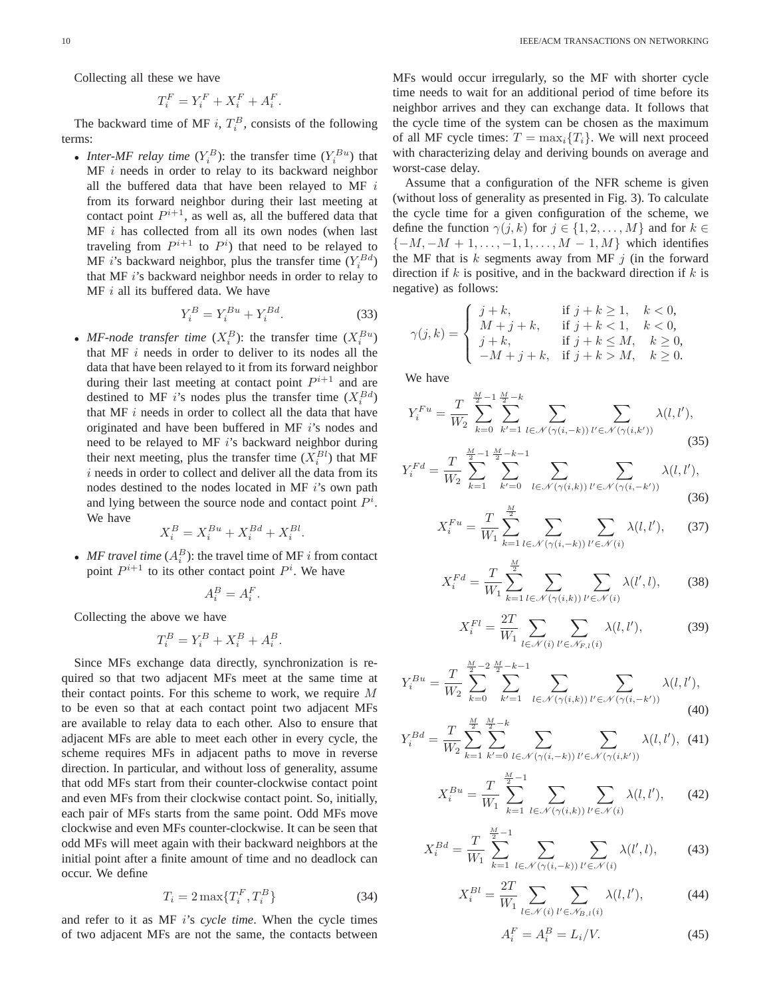Collecting all these we have

$$
T_i^F = Y_i^F + X_i^F + A_i^F.
$$

The backward time of MF i,  $T_i^B$ , consists of the following terms:

• *Inter-MF relay time*  $(Y_i^B)$ : the transfer time  $(Y_i^{Bu})$  that MF i needs in order to relay to its backward neighbor all the buffered data that have been relayed to MF  $i$ from its forward neighbor during their last meeting at contact point  $P^{i+1}$ , as well as, all the buffered data that  $MF$  *i* has collected from all its own nodes (when last traveling from  $P^{i+1}$  to  $P^i$ ) that need to be relayed to MF *i*'s backward neighbor, plus the transfer time  $(Y_i^{Bd})$ that MF i's backward neighbor needs in order to relay to  $MF$  *i* all its buffered data. We have

$$
Y_i^B = Y_i^{Bu} + Y_i^{Bd}.\tag{33}
$$

• *MF-node transfer time*  $(X_i^B)$ : the transfer time  $(X_i^{Bu})$ that MF  $i$  needs in order to deliver to its nodes all the data that have been relayed to it from its forward neighbor during their last meeting at contact point  $P^{i+1}$  and are destined to MF *i*'s nodes plus the transfer time  $(X_i^{Bd})$ that MF  $i$  needs in order to collect all the data that have originated and have been buffered in MF i's nodes and need to be relayed to MF i's backward neighbor during their next meeting, plus the transfer time  $(X_i^{Bl})$  that MF  $i$  needs in order to collect and deliver all the data from its nodes destined to the nodes located in MF i's own path and lying between the source node and contact point  $P^i$ . We have

$$
X_i^B = X_i^{Bu} + X_i^{Bd} + X_i^{Bl}.
$$

• *MF travel time*  $(A_i^B)$ : the travel time of MF *i* from contact point  $P^{i+1}$  to its other contact point  $P^i$ . We have

$$
A_i^B = A_i^F.
$$

Collecting the above we have

$$
T_i^B = Y_i^B + X_i^B + A_i^B.
$$

Since MFs exchange data directly, synchronization is required so that two adjacent MFs meet at the same time at their contact points. For this scheme to work, we require M to be even so that at each contact point two adjacent MFs are available to relay data to each other. Also to ensure that adjacent MFs are able to meet each other in every cycle, the scheme requires MFs in adjacent paths to move in reverse direction. In particular, and without loss of generality, assume that odd MFs start from their counter-clockwise contact point and even MFs from their clockwise contact point. So, initially, each pair of MFs starts from the same point. Odd MFs move clockwise and even MFs counter-clockwise. It can be seen that odd MFs will meet again with their backward neighbors at the initial point after a finite amount of time and no deadlock can occur. We define

$$
T_i = 2\max\{T_i^F, T_i^B\} \tag{34}
$$

and refer to it as MF i's *cycle time*. When the cycle times of two adjacent MFs are not the same, the contacts between MFs would occur irregularly, so the MF with shorter cycle time needs to wait for an additional period of time before its neighbor arrives and they can exchange data. It follows that the cycle time of the system can be chosen as the maximum of all MF cycle times:  $T = \max_i \{T_i\}$ . We will next proceed with characterizing delay and deriving bounds on average and worst-case delay.

Assume that a configuration of the NFR scheme is given (without loss of generality as presented in Fig. 3). To calculate the cycle time for a given configuration of the scheme, we define the function  $\gamma(j,k)$  for  $j \in \{1,2,\ldots,M\}$  and for  $k \in$  $\{-M, -M + 1, \ldots, -1, 1, \ldots, M - 1, M\}$  which identifies the MF that is  $k$  segments away from MF  $j$  (in the forward direction if  $k$  is positive, and in the backward direction if  $k$  is negative) as follows:

$$
\gamma(j,k) = \begin{cases}\nj+k, & \text{if } j+k \ge 1, \quad k < 0, \\
M+j+k, & \text{if } j+k < 1, \quad k < 0, \\
j+k, & \text{if } j+k \le M, \quad k \ge 0, \\
-M+j+k, & \text{if } j+k > M, \quad k \ge 0.\n\end{cases}
$$

We have

$$
Y_i^{Fu} = \frac{T}{W_2} \sum_{k=0}^{\frac{M}{2}-1} \sum_{k'=1}^{\frac{M}{2}-k} \sum_{l \in \mathcal{N}(\gamma(i,-k))} \sum_{l' \in \mathcal{N}(\gamma(i,k'))} \lambda(l,l'),
$$
\n
$$
(35)
$$

$$
Y_i^{Fd} = \frac{T}{W_2} \sum_{k=1}^{\frac{M}{2}-1} \sum_{k'=0}^{\frac{M}{2}-k-1} \sum_{l \in \mathcal{N}(\gamma(i,k))} \sum_{l' \in \mathcal{N}(\gamma(i,-k'))} \lambda(l,l'),\tag{36}
$$

$$
X_i^{Fu} = \frac{T}{W_1} \sum_{k=1}^{\frac{M}{2}} \sum_{l \in \mathcal{N}(\gamma(i,-k))} \sum_{l' \in \mathcal{N}(i)} \lambda(l,l'), \qquad (37)
$$

$$
X_i^{Fd} = \frac{T}{W_1} \sum_{k=1}^{\frac{M}{2}} \sum_{l \in \mathcal{N}(\gamma(i,k))} \sum_{l' \in \mathcal{N}(i)} \lambda(l',l),\tag{38}
$$

$$
X_i^{Fl} = \frac{2T}{W_1} \sum_{l \in \mathcal{N}(i)} \sum_{l' \in \mathcal{N}_{F,l}(i)} \lambda(l, l'),\tag{39}
$$

$$
Y_i^{Bu} = \frac{T}{W_2} \sum_{k=0}^{\frac{M}{2}-2} \sum_{k'=1}^{\frac{M}{2}-k-1} \sum_{l \in \mathcal{N}(\gamma(i,k))} \sum_{l' \in \mathcal{N}(\gamma(i,-k'))} \lambda(l,l'),\tag{40}
$$

$$
Y_i^{Bd} = \frac{T}{W_2} \sum_{k=1}^{\frac{M}{2}} \sum_{k'=0}^{\frac{M}{2}-k} \sum_{l \in \mathcal{N}(\gamma(i,-k))} \sum_{l' \in \mathcal{N}(\gamma(i,k'))} \lambda(l,l'), \tag{41}
$$

$$
X_i^{Bu} = \frac{T}{W_1} \sum_{k=1}^{\frac{M}{2}-1} \sum_{l \in \mathcal{N}(\gamma(i,k))} \sum_{l' \in \mathcal{N}(i)} \lambda(l,l'), \qquad (42)
$$

$$
X_i^{Bd} = \frac{T}{W_1} \sum_{k=1}^{\frac{M}{2}-1} \sum_{l \in \mathcal{N}(\gamma(i,-k))} \sum_{l' \in \mathcal{N}(i)} \lambda(l',l), \tag{43}
$$

$$
X_i^{Bl} = \frac{2T}{W_1} \sum_{l \in \mathcal{N}(i)} \sum_{l' \in \mathcal{N}_{B,l}(i)} \lambda(l, l'),\tag{44}
$$

$$
A_i^F = A_i^B = L_i/V.
$$
\n<sup>(45)</sup>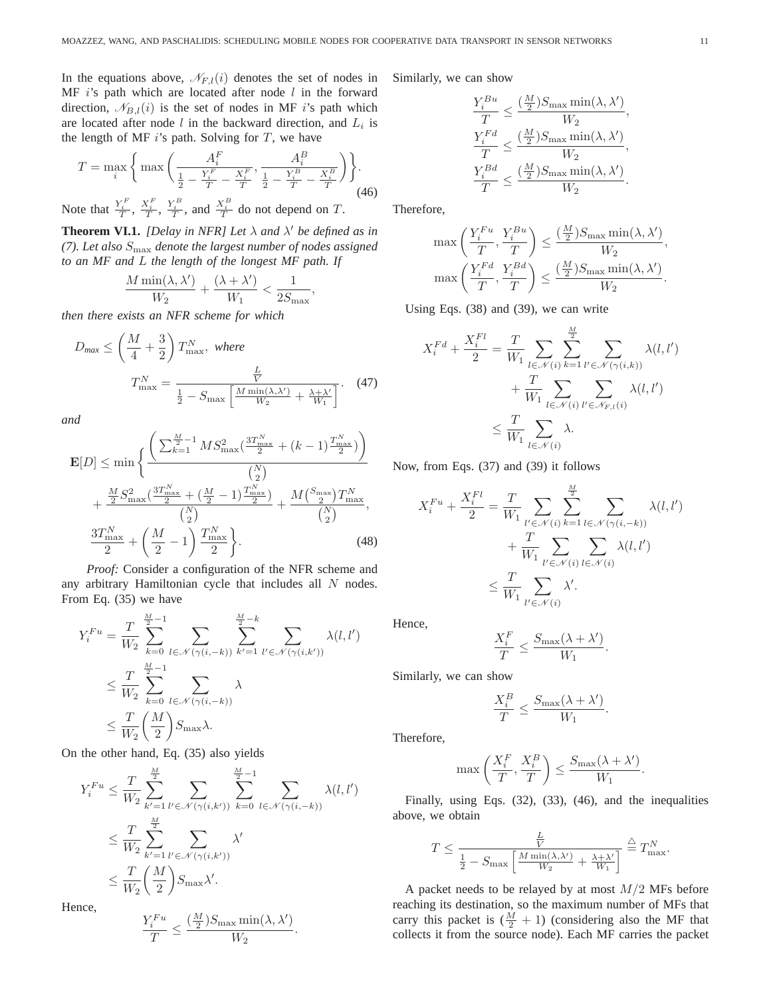In the equations above,  $\mathcal{N}_{F,l}(i)$  denotes the set of nodes in MF  $i$ 's path which are located after node  $l$  in the forward direction,  $\mathcal{N}_{B,l}(i)$  is the set of nodes in MF i's path which are located after node  $l$  in the backward direction, and  $L_i$  is the length of MF  $i$ 's path. Solving for  $T$ , we have

$$
T = \max_{i} \left\{ \max \left( \frac{A_i^F}{\frac{1}{2} - \frac{Y_i^F}{T} - \frac{X_i^F}{T}}, \frac{A_i^B}{\frac{1}{2} - \frac{Y_i^B}{T} - \frac{X_i^B}{T}} \right) \right\}.
$$
  

$$
V^F V^F V^B V^B V^B
$$
 (46)

Note that  $\frac{Y_i^F}{T}$ ,  $\frac{X_i^F}{T}$ ,  $\frac{Y_i^B}{T}$ , and  $\frac{X_i^B}{T}$  do not depend on T.

**Theorem VI.1.** *[Delay in NFR] Let*  $\lambda$  *and*  $\lambda'$  *be defined as in (7). Let also* Smax *denote the largest number of nodes assigned to an MF and* L *the length of the longest MF path. If*

$$
\frac{M\min(\lambda, \lambda')}{W_2} + \frac{(\lambda + \lambda')}{W_1} < \frac{1}{2S_{\max}},
$$

*then there exists an NFR scheme for which*

$$
D_{\text{max}} \le \left(\frac{M}{4} + \frac{3}{2}\right) T_{\text{max}}^N, \text{ where}
$$
\n
$$
T_{\text{max}}^N = \frac{\frac{L}{V}}{\frac{1}{2} - S_{\text{max}} \left[\frac{M \min(\lambda, \lambda')}{W_2} + \frac{\lambda + \lambda'}{W_1}\right]}.
$$
\n(47)

*and*

$$
\mathbf{E}[D] \le \min \left\{ \frac{\left(\sum_{k=1}^{\frac{M}{2}-1} MS_{\max}^2 \left(\frac{3T_{\max}^N}{2} + (k-1)\frac{T_{\max}^N}{2}\right)\right)}{\binom{N}{2}} + \frac{\frac{M}{2} S_{\max}^2 \left(\frac{3T_{\max}^N}{2} + \left(\frac{M}{2} - 1\right)\frac{T_{\max}^N}{2}\right)}{\binom{N}{2}} + \frac{M \binom{S_{\max}}{2} T_{\max}^N}{\binom{N}{2}}, \frac{3T_{\max}^N}{2} + \left(\frac{M}{2} - 1\right)\frac{T_{\max}^N}{2} \right\}.
$$
\n(48)

*Proof:* Consider a configuration of the NFR scheme and any arbitrary Hamiltonian cycle that includes all N nodes. From Eq. (35) we have

$$
Y_i^{Fu} = \frac{T}{W_2} \sum_{k=0}^{\frac{M}{2}-1} \sum_{l \in \mathcal{N}(\gamma(i,-k))} \sum_{k'=1}^{\frac{M}{2}-k} \sum_{l' \in \mathcal{N}(\gamma(i,k'))} \lambda(l,l')
$$
  

$$
\leq \frac{T}{W_2} \sum_{k=0}^{\frac{M}{2}-1} \sum_{l \in \mathcal{N}(\gamma(i,-k))} \lambda
$$
  

$$
\leq \frac{T}{W_2} \left(\frac{M}{2}\right) S_{\text{max}} \lambda.
$$

On the other hand, Eq. (35) also yields

$$
Y_i^{Fu} \leq \frac{T}{W_2} \sum_{k'=1}^{\frac{M}{2}} \sum_{l' \in \mathcal{N}(\gamma(i,k'))} \sum_{k=0}^{\frac{M}{2}-1} \sum_{l \in \mathcal{N}(\gamma(i,-k))} \lambda(l,l')
$$
  

$$
\leq \frac{T}{W_2} \sum_{k'=1}^{\frac{M}{2}} \sum_{l' \in \mathcal{N}(\gamma(i,k'))} \lambda'
$$
  

$$
\leq \frac{T}{W_2} \left(\frac{M}{2}\right) S_{\text{max}} \lambda'.
$$

Hence,

$$
\frac{Y_i^{Fu}}{T} \le \frac{(\frac{M}{2})S_{\max}\min(\lambda, \lambda')}{W_2}.
$$

Similarly, we can show

$$
\label{eq:1} \begin{aligned} \frac{Y_i^{Bu}}{T} &\leq \frac{(\frac{M}{2})S_{\text{max}}\min(\lambda,\lambda')}{W_2},\\ \frac{Y_i^{Fd}}{T} &\leq \frac{(\frac{M}{2})S_{\text{max}}\min(\lambda,\lambda')}{W_2},\\ \frac{Y_i^{Bd}}{T} &\leq \frac{(\frac{M}{2})S_{\text{max}}\min(\lambda,\lambda')}{W_2}. \end{aligned}
$$

Therefore,

$$
\begin{split} \max\left(\frac{Y_i^{Fu}}{T},\frac{Y_i^{Bu}}{T}\right) &\leq \frac{(\frac{M}{2})S_{\max}\min(\lambda,\lambda')}{W_2},\\ \max\left(\frac{Y_i^{Fd}}{T},\frac{Y_i^{Bd}}{T}\right) &\leq \frac{(\frac{M}{2})S_{\max}\min(\lambda,\lambda')}{W_2}. \end{split}
$$

Using Eqs. (38) and (39), we can write

$$
X_i^{Fd} + \frac{X_i^{Fl}}{2} = \frac{T}{W_1} \sum_{l \in \mathcal{N}(i)} \sum_{k=1}^{\frac{M}{2}} \sum_{l' \in \mathcal{N}(\gamma(i,k))} \lambda(l,l') + \frac{T}{W_1} \sum_{l \in \mathcal{N}(i)} \sum_{l' \in \mathcal{N}_{F,l}(i)} \lambda(l,l')
$$
  

$$
\leq \frac{T}{W_1} \sum_{l \in \mathcal{N}(i)} \lambda.
$$

Now, from Eqs. (37) and (39) it follows

$$
X_i^{Fu} + \frac{X_i^{Fl}}{2} = \frac{T}{W_1} \sum_{l' \in \mathcal{N}(i)} \sum_{k=1}^{\frac{M}{2}} \sum_{l \in \mathcal{N}(\gamma(i,-k))} \lambda(l,l')
$$
  
+ 
$$
\frac{T}{W_1} \sum_{l' \in \mathcal{N}(i)} \sum_{l \in \mathcal{N}(i)} \lambda(l,l')
$$
  

$$
\leq \frac{T}{W_1} \sum_{l' \in \mathcal{N}(i)} \lambda'.
$$

Hence,

$$
\frac{X_i^F}{T} \le \frac{S_{\max}(\lambda + \lambda')}{W_1}.
$$

Similarly, we can show

$$
\frac{X_i^B}{T} \le \frac{S_{\text{max}}(\lambda + \lambda')}{W_1}.
$$

Therefore,

$$
\max\left(\frac{X_i^F}{T}, \frac{X_i^B}{T}\right) \le \frac{S_{\max}(\lambda + \lambda')}{W_1}.
$$

Finally, using Eqs. (32), (33), (46), and the inequalities above, we obtain

$$
T \le \frac{\frac{L}{V}}{\frac{1}{2} - S_{\text{max}} \left[ \frac{M \min(\lambda, \lambda')}{W_2} + \frac{\lambda + \lambda'}{W_1} \right]} \stackrel{\triangle}{=} T_{\text{max}}^N.
$$

A packet needs to be relayed by at most  $M/2$  MFs before reaching its destination, so the maximum number of MFs that carry this packet is  $(\frac{M}{2} + 1)$  (considering also the MF that collects it from the source node). Each MF carries the packet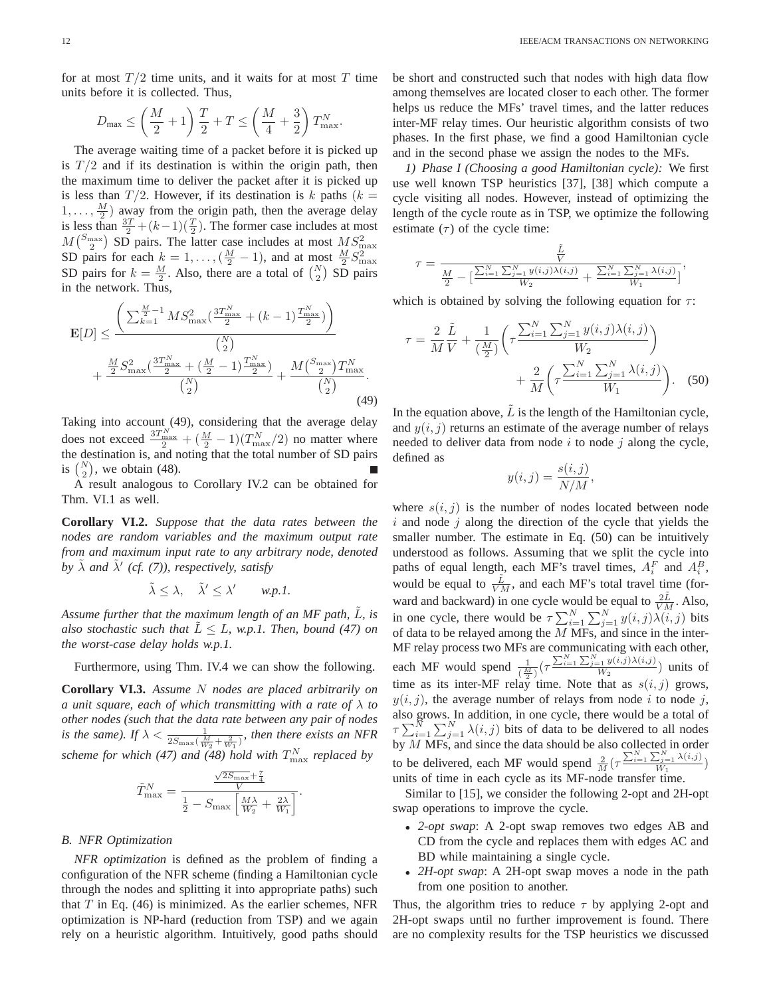for at most  $T/2$  time units, and it waits for at most T time units before it is collected. Thus,

$$
D_{\max} \le \left(\frac{M}{2} + 1\right) \frac{T}{2} + T \le \left(\frac{M}{4} + \frac{3}{2}\right) T_{\max}^N.
$$

The average waiting time of a packet before it is picked up is  $T/2$  and if its destination is within the origin path, then the maximum time to deliver the packet after it is picked up is less than  $T/2$ . However, if its destination is k paths  $(k =$  $1, \ldots, \frac{M}{2}$  away from the origin path, then the average delay is less than  $\frac{3T}{2} + (k-1)(\frac{T}{2})$ . The former case includes at most  $M\binom{S_{\text{max}}}{2}$  SD pairs. The latter case includes at most  $MS_{\text{max}}^2$ SD pairs for each  $k = 1, ..., (\frac{M}{2} - 1)$ , and at most  $\frac{M}{2}S_{\text{max}}^2$ <br>SD pairs for  $k = \frac{M}{2}$ . Also, there are a total of  $\binom{N}{2}$  SD pairs in the network. Thus,

$$
\mathbf{E}[D] \leq \frac{\left(\sum_{k=1}^{\frac{M}{2}-1} MS_{\max}^2 \left(\frac{3T_{\max}^N}{2} + (k-1)\frac{T_{\max}^N}{2}\right)\right)}{\binom{N}{2}} + \frac{\frac{M}{2} S_{\max}^2 \left(\frac{3T_{\max}^N}{2} + \left(\frac{M}{2} - 1\right)\frac{T_{\max}^N}{2}\right)}{\binom{N}{2}} + \frac{M \binom{S_{\max}}{2} T_{\max}^N}{\binom{N}{2}}.
$$
\n(49)

Taking into account (49), considering that the average delay does not exceed  $\frac{3T_{\text{max}}^N}{2} + (\frac{M}{2} - 1)(T_{\text{max}}^N/2)$  no matter where the destination is, and noting that the total number of SD pairs is  $\binom{N}{2}$ , we obtain (48).

A result analogous to Corollary IV.2 can be obtained for Thm. VI.1 as well.

**Corollary VI.2.** *Suppose that the data rates between the nodes are random variables and the maximum output rate from and maximum input rate to any arbitrary node, denoted* by  $\tilde{\lambda}$  and  $\tilde{\lambda}'$  (cf. (7)), respectively, satisfy

$$
\tilde{\lambda} \leq \lambda, \quad \tilde{\lambda}' \leq \lambda' \qquad w.p.1.
$$

Assume further that the maximum length of an MF path, L, is *also stochastic such that*  $L \leq L$ *, w.p.1. Then, bound (47) on the worst-case delay holds w.p.1.*

Furthermore, using Thm. IV.4 we can show the following.

**Corollary VI.3.** *Assume* N *nodes are placed arbitrarily on a unit square, each of which transmitting with a rate of* λ *to other nodes (such that the data rate between any pair of nodes is the same). If*  $\lambda < \frac{1}{2S_{\max}(\frac{M}{W_2} + \frac{2}{W_1})}$ , then there exists an NFR *scheme for which (47) and (48) hold with* T N max *replaced by*

$$
\tilde{T}_{\max}^N = \frac{\frac{\sqrt{2S_{\max}}+\frac{7}{4}}{V}}{\frac{1}{2}-S_{\max}\left[\frac{M\lambda}{W_2}+\frac{2\lambda}{W_1}\right]}.
$$

#### *B. NFR Optimization*

*NFR optimization* is defined as the problem of finding a configuration of the NFR scheme (finding a Hamiltonian cycle through the nodes and splitting it into appropriate paths) such that  $T$  in Eq. (46) is minimized. As the earlier schemes, NFR optimization is NP-hard (reduction from TSP) and we again rely on a heuristic algorithm. Intuitively, good paths should be short and constructed such that nodes with high data flow among themselves are located closer to each other. The former helps us reduce the MFs' travel times, and the latter reduces inter-MF relay times. Our heuristic algorithm consists of two phases. In the first phase, we find a good Hamiltonian cycle and in the second phase we assign the nodes to the MFs.

*1) Phase I (Choosing a good Hamiltonian cycle):* We first use well known TSP heuristics [37], [38] which compute a cycle visiting all nodes. However, instead of optimizing the length of the cycle route as in TSP, we optimize the following estimate  $(\tau)$  of the cycle time:

$$
\tau = \frac{\frac{\tilde{L}}{V}}{\frac{M}{2} - \left[\frac{\sum_{i=1}^{N} \sum_{j=1}^{N} y(i,j)\lambda(i,j)}{W_2} + \frac{\sum_{i=1}^{N} \sum_{j=1}^{N} \lambda(i,j)}{W_1}\right]},
$$

which is obtained by solving the following equation for  $\tau$ :

$$
\tau = \frac{2}{M} \frac{\tilde{L}}{V} + \frac{1}{\left(\frac{M}{2}\right)} \left( \tau \frac{\sum_{i=1}^{N} \sum_{j=1}^{N} y(i,j) \lambda(i,j)}{W_2} \right) + \frac{2}{M} \left( \tau \frac{\sum_{i=1}^{N} \sum_{j=1}^{N} \lambda(i,j)}{W_1} \right). \tag{50}
$$

In the equation above,  $\tilde{L}$  is the length of the Hamiltonian cycle, and  $y(i, j)$  returns an estimate of the average number of relays needed to deliver data from node  $i$  to node  $j$  along the cycle, defined as

$$
y(i,j) = \frac{s(i,j)}{N/M},
$$

where  $s(i, j)$  is the number of nodes located between node  $i$  and node  $j$  along the direction of the cycle that yields the smaller number. The estimate in Eq. (50) can be intuitively understood as follows. Assuming that we split the cycle into paths of equal length, each MF's travel times,  $A_i^F$  and  $A_i^B$ , would be equal to  $\frac{\tilde{L}}{VM}$ , and each MF's total travel time (forward and backward) in one cycle would be equal to  $\frac{2L}{VM}$ . Also, in one cycle, there would be  $\tau \sum_{i=1}^{N} \sum_{j=1}^{N} y(i,j) \lambda(i,j)$  bits of data to be relayed among the  $M$  MFs, and since in the inter-MF relay process two MFs are communicating with each other, each MF would spend  $\frac{1}{\left(\frac{M}{2}\right)} \left(\tau \frac{\sum_{i=1}^{N} \sum_{j=1}^{N} y(i,j) \lambda(i,j)}{W_2}\right)$  $\frac{U_{\epsilon}}{W_2}$  units of time as its inter-MF relay time. Note that as  $s(i, j)$  grows,  $y(i, j)$ , the average number of relays from node i to node j, also grows. In addition, in one cycle, there would be a total of  $\tau \sum_{i=1}^{N} \sum_{j=1}^{N} \lambda(i, j)$  bits of data to be delivered to all nodes by  $M$  MFs, and since the data should be also collected in order to be delivered, each MF would spend  $\frac{2}{M}(\tau \frac{\sum_{i=1}^{N} \sum_{j=1}^{N} \lambda(i,j)}{W_1})$ units of time in each cycle as its MF-node transfer time.

Similar to [15], we consider the following 2-opt and 2H-opt swap operations to improve the cycle.

- *2-opt swap*: A 2-opt swap removes two edges AB and CD from the cycle and replaces them with edges AC and BD while maintaining a single cycle.
- *2H-opt swap*: A 2H-opt swap moves a node in the path from one position to another.

Thus, the algorithm tries to reduce  $\tau$  by applying 2-opt and 2H-opt swaps until no further improvement is found. There are no complexity results for the TSP heuristics we discussed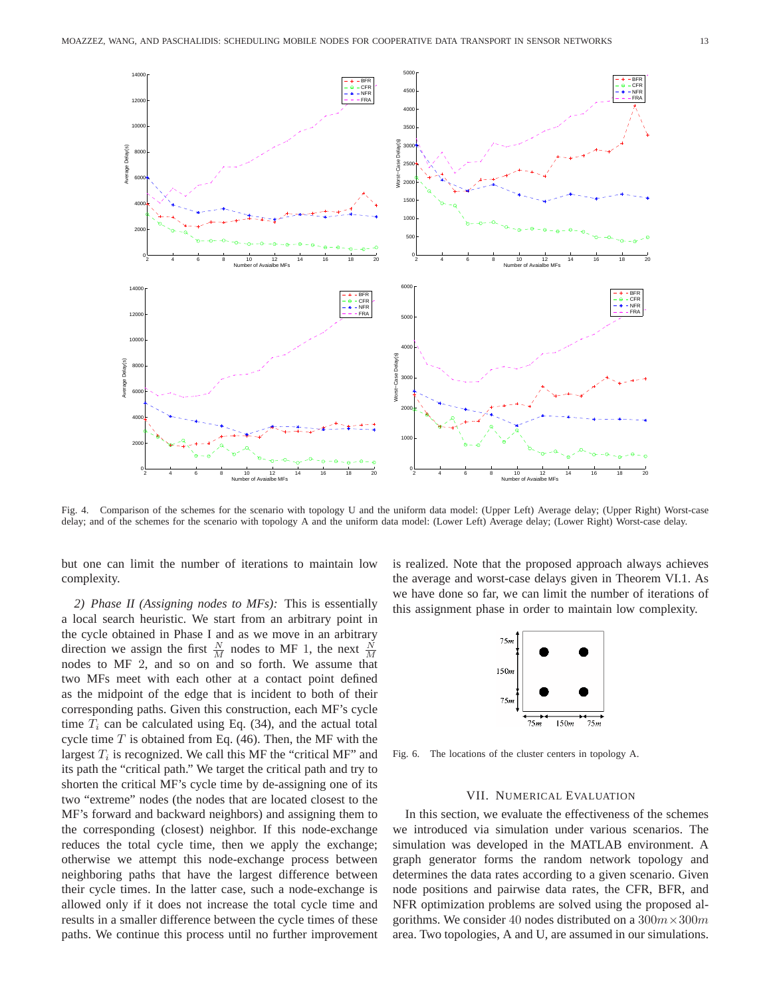

Fig. 4. Comparison of the schemes for the scenario with topology U and the uniform data model: (Upper Left) Average delay; (Upper Right) Worst-case delay; and of the schemes for the scenario with topology A and the uniform data model: (Lower Left) Average delay; (Lower Right) Worst-case delay.

but one can limit the number of iterations to maintain low complexity.

*2) Phase II (Assigning nodes to MFs):* This is essentially a local search heuristic. We start from an arbitrary point in the cycle obtained in Phase I and as we move in an arbitrary direction we assign the first  $\frac{N}{M}$  nodes to MF 1, the next  $\frac{N}{M}$ nodes to MF 2, and so on and so forth. We assume that two MFs meet with each other at a contact point defined as the midpoint of the edge that is incident to both of their corresponding paths. Given this construction, each MF's cycle time  $T_i$  can be calculated using Eq. (34), and the actual total cycle time  $T$  is obtained from Eq. (46). Then, the MF with the largest  $T_i$  is recognized. We call this MF the "critical MF" and its path the "critical path." We target the critical path and try to shorten the critical MF's cycle time by de-assigning one of its two "extreme" nodes (the nodes that are located closest to the MF's forward and backward neighbors) and assigning them to the corresponding (closest) neighbor. If this node-exchange reduces the total cycle time, then we apply the exchange; otherwise we attempt this node-exchange process between neighboring paths that have the largest difference between their cycle times. In the latter case, such a node-exchange is allowed only if it does not increase the total cycle time and results in a smaller difference between the cycle times of these paths. We continue this process until no further improvement is realized. Note that the proposed approach always achieves the average and worst-case delays given in Theorem VI.1. As we have done so far, we can limit the number of iterations of this assignment phase in order to maintain low complexity.



Fig. 6. The locations of the cluster centers in topology A.

# VII. NUMERICAL EVALUATION

In this section, we evaluate the effectiveness of the schemes we introduced via simulation under various scenarios. The simulation was developed in the MATLAB environment. A graph generator forms the random network topology and determines the data rates according to a given scenario. Given node positions and pairwise data rates, the CFR, BFR, and NFR optimization problems are solved using the proposed algorithms. We consider 40 nodes distributed on a  $300m \times 300m$ area. Two topologies, A and U, are assumed in our simulations.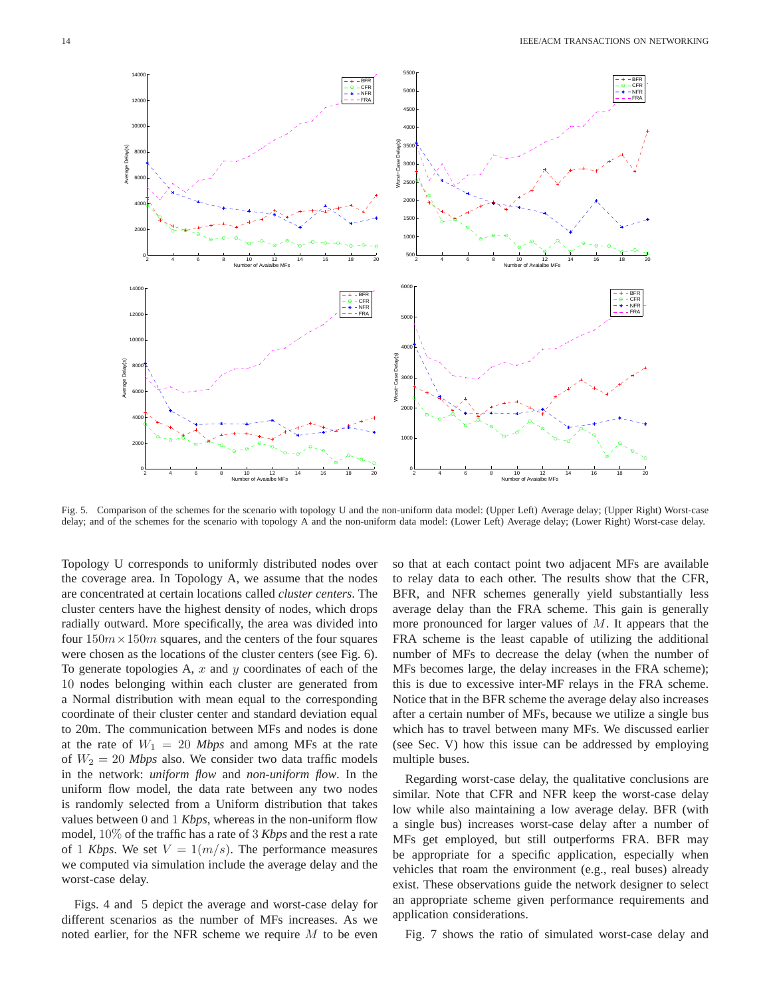

Fig. 5. Comparison of the schemes for the scenario with topology U and the non-uniform data model: (Upper Left) Average delay; (Upper Right) Worst-case delay; and of the schemes for the scenario with topology A and the non-uniform data model: (Lower Left) Average delay; (Lower Right) Worst-case delay.

Topology U corresponds to uniformly distributed nodes over the coverage area. In Topology A, we assume that the nodes are concentrated at certain locations called *cluster centers*. The cluster centers have the highest density of nodes, which drops radially outward. More specifically, the area was divided into four  $150m \times 150m$  squares, and the centers of the four squares were chosen as the locations of the cluster centers (see Fig. 6). To generate topologies A,  $x$  and  $y$  coordinates of each of the 10 nodes belonging within each cluster are generated from a Normal distribution with mean equal to the corresponding coordinate of their cluster center and standard deviation equal to 20m. The communication between MFs and nodes is done at the rate of  $W_1 = 20$  *Mbps* and among MFs at the rate of  $W_2 = 20$  *Mbps* also. We consider two data traffic models in the network: *uniform flow* and *non-uniform flow*. In the uniform flow model, the data rate between any two nodes is randomly selected from a Uniform distribution that takes values between 0 and 1 *Kbps*, whereas in the non-uniform flow model, 10% of the traffic has a rate of 3 *Kbps* and the rest a rate of 1 *Kbps*. We set  $V = 1(m/s)$ . The performance measures we computed via simulation include the average delay and the worst-case delay.

Figs. 4 and 5 depict the average and worst-case delay for different scenarios as the number of MFs increases. As we noted earlier, for the NFR scheme we require  $M$  to be even

so that at each contact point two adjacent MFs are available to relay data to each other. The results show that the CFR, BFR, and NFR schemes generally yield substantially less average delay than the FRA scheme. This gain is generally more pronounced for larger values of M. It appears that the FRA scheme is the least capable of utilizing the additional number of MFs to decrease the delay (when the number of MFs becomes large, the delay increases in the FRA scheme); this is due to excessive inter-MF relays in the FRA scheme. Notice that in the BFR scheme the average delay also increases after a certain number of MFs, because we utilize a single bus which has to travel between many MFs. We discussed earlier (see Sec. V) how this issue can be addressed by employing multiple buses.

Regarding worst-case delay, the qualitative conclusions are similar. Note that CFR and NFR keep the worst-case delay low while also maintaining a low average delay. BFR (with a single bus) increases worst-case delay after a number of MFs get employed, but still outperforms FRA. BFR may be appropriate for a specific application, especially when vehicles that roam the environment (e.g., real buses) already exist. These observations guide the network designer to select an appropriate scheme given performance requirements and application considerations.

Fig. 7 shows the ratio of simulated worst-case delay and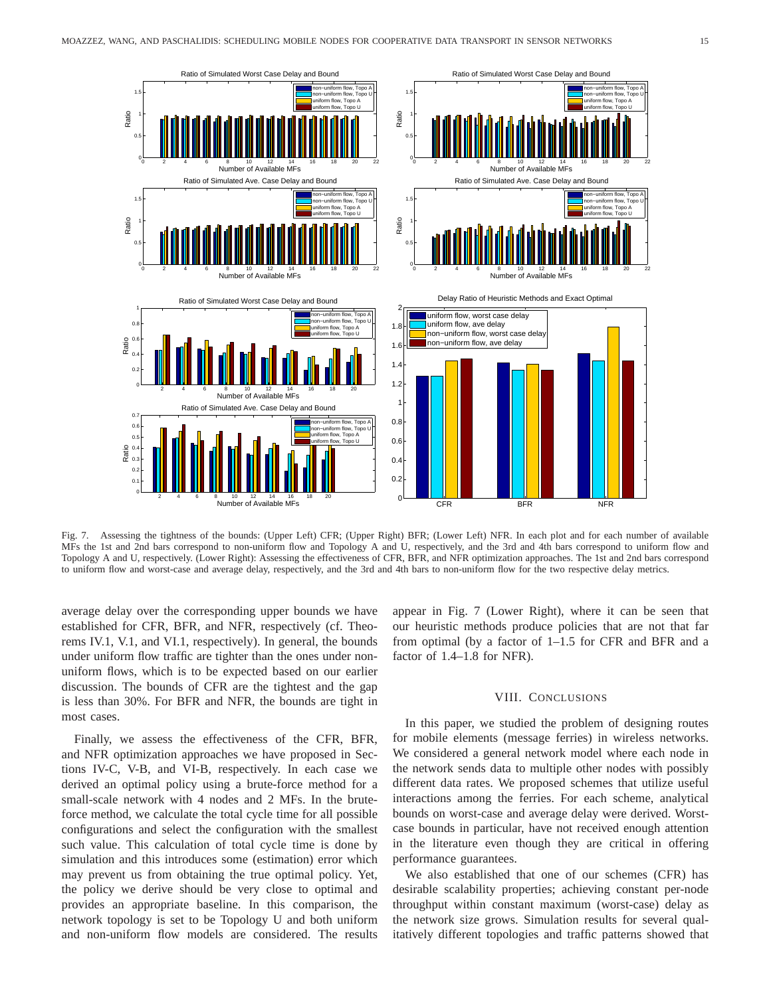

Fig. 7. Assessing the tightness of the bounds: (Upper Left) CFR; (Upper Right) BFR; (Lower Left) NFR. In each plot and for each number of available MFs the 1st and 2nd bars correspond to non-uniform flow and Topology A and U, respectively, and the 3rd and 4th bars correspond to uniform flow and Topology A and U, respectively. (Lower Right): Assessing the effectiveness of CFR, BFR, and NFR optimization approaches. The 1st and 2nd bars correspond to uniform flow and worst-case and average delay, respectively, and the 3rd and 4th bars to non-uniform flow for the two respective delay metrics.

average delay over the corresponding upper bounds we have established for CFR, BFR, and NFR, respectively (cf. Theorems IV.1, V.1, and VI.1, respectively). In general, the bounds under uniform flow traffic are tighter than the ones under nonuniform flows, which is to be expected based on our earlier discussion. The bounds of CFR are the tightest and the gap is less than 30%. For BFR and NFR, the bounds are tight in most cases.

Finally, we assess the effectiveness of the CFR, BFR, and NFR optimization approaches we have proposed in Sections IV-C, V-B, and VI-B, respectively. In each case we derived an optimal policy using a brute-force method for a small-scale network with 4 nodes and 2 MFs. In the bruteforce method, we calculate the total cycle time for all possible configurations and select the configuration with the smallest such value. This calculation of total cycle time is done by simulation and this introduces some (estimation) error which may prevent us from obtaining the true optimal policy. Yet, the policy we derive should be very close to optimal and provides an appropriate baseline. In this comparison, the network topology is set to be Topology U and both uniform and non-uniform flow models are considered. The results

appear in Fig. 7 (Lower Right), where it can be seen that our heuristic methods produce policies that are not that far from optimal (by a factor of 1–1.5 for CFR and BFR and a factor of 1.4–1.8 for NFR).

#### VIII. CONCLUSIONS

In this paper, we studied the problem of designing routes for mobile elements (message ferries) in wireless networks. We considered a general network model where each node in the network sends data to multiple other nodes with possibly different data rates. We proposed schemes that utilize useful interactions among the ferries. For each scheme, analytical bounds on worst-case and average delay were derived. Worstcase bounds in particular, have not received enough attention in the literature even though they are critical in offering performance guarantees.

We also established that one of our schemes (CFR) has desirable scalability properties; achieving constant per-node throughput within constant maximum (worst-case) delay as the network size grows. Simulation results for several qualitatively different topologies and traffic patterns showed that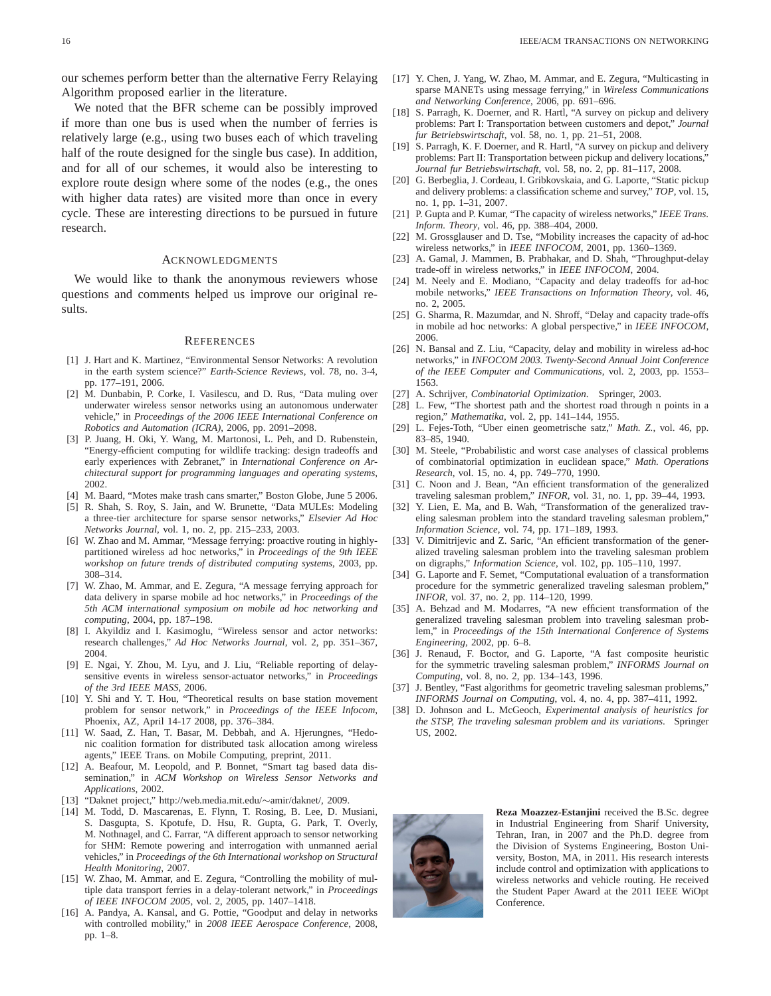our schemes perform better than the alternative Ferry Relaying Algorithm proposed earlier in the literature.

We noted that the BFR scheme can be possibly improved if more than one bus is used when the number of ferries is relatively large (e.g., using two buses each of which traveling half of the route designed for the single bus case). In addition, and for all of our schemes, it would also be interesting to explore route design where some of the nodes (e.g., the ones with higher data rates) are visited more than once in every cycle. These are interesting directions to be pursued in future research.

### ACKNOWLEDGMENTS

We would like to thank the anonymous reviewers whose questions and comments helped us improve our original results.

#### **REFERENCES**

- [1] J. Hart and K. Martinez, "Environmental Sensor Networks: A revolution in the earth system science?" *Earth-Science Reviews*, vol. 78, no. 3-4, pp. 177–191, 2006.
- [2] M. Dunbabin, P. Corke, I. Vasilescu, and D. Rus, "Data muling over underwater wireless sensor networks using an autonomous underwater vehicle," in *Proceedings of the 2006 IEEE International Conference on Robotics and Automation (ICRA)*, 2006, pp. 2091–2098.
- [3] P. Juang, H. Oki, Y. Wang, M. Martonosi, L. Peh, and D. Rubenstein, "Energy-efficient computing for wildlife tracking: design tradeoffs and early experiences with Zebranet," in *International Conference on Architectural support for programming languages and operating systems*, 2002.
- [4] M. Baard, "Motes make trash cans smarter," Boston Globe, June 5 2006.
- [5] R. Shah, S. Roy, S. Jain, and W. Brunette, "Data MULEs: Modeling a three-tier architecture for sparse sensor networks," *Elsevier Ad Hoc Networks Journal*, vol. 1, no. 2, pp. 215–233, 2003.
- [6] W. Zhao and M. Ammar, "Message ferrying: proactive routing in highlypartitioned wireless ad hoc networks," in *Proceedings of the 9th IEEE workshop on future trends of distributed computing systems*, 2003, pp. 308–314.
- [7] W. Zhao, M. Ammar, and E. Zegura, "A message ferrying approach for data delivery in sparse mobile ad hoc networks," in *Proceedings of the 5th ACM international symposium on mobile ad hoc networking and computing*, 2004, pp. 187–198.
- [8] I. Akyildiz and I. Kasimoglu, "Wireless sensor and actor networks: research challenges," *Ad Hoc Networks Journal*, vol. 2, pp. 351–367, 2004.
- [9] E. Ngai, Y. Zhou, M. Lyu, and J. Liu, "Reliable reporting of delaysensitive events in wireless sensor-actuator networks," in *Proceedings of the 3rd IEEE MASS*, 2006.
- [10] Y. Shi and Y. T. Hou, "Theoretical results on base station movement problem for sensor network," in *Proceedings of the IEEE Infocom*, Phoenix, AZ, April 14-17 2008, pp. 376–384.
- [11] W. Saad, Z. Han, T. Basar, M. Debbah, and A. Hjerungnes, "Hedonic coalition formation for distributed task allocation among wireless agents," IEEE Trans. on Mobile Computing, preprint, 2011.
- [12] A. Beafour, M. Leopold, and P. Bonnet, "Smart tag based data dissemination," in *ACM Workshop on Wireless Sensor Networks and Applications*, 2002.
- [13] "Daknet project," http://web.media.mit.edu/∼amir/daknet/, 2009.
- [14] M. Todd, D. Mascarenas, E. Flynn, T. Rosing, B. Lee, D. Musiani, S. Dasgupta, S. Kpotufe, D. Hsu, R. Gupta, G. Park, T. Overly, M. Nothnagel, and C. Farrar, "A different approach to sensor networking for SHM: Remote powering and interrogation with unmanned aerial vehicles," in *Proceedings of the 6th International workshop on Structural Health Monitoring*, 2007.
- [15] W. Zhao, M. Ammar, and E. Zegura, "Controlling the mobility of multiple data transport ferries in a delay-tolerant network," in *Proceedings of IEEE INFOCOM 2005*, vol. 2, 2005, pp. 1407–1418.
- [16] A. Pandya, A. Kansal, and G. Pottie, "Goodput and delay in networks with controlled mobility," in *2008 IEEE Aerospace Conference*, 2008, pp. 1–8.
- [17] Y. Chen, J. Yang, W. Zhao, M. Ammar, and E. Zegura, "Multicasting in sparse MANETs using message ferrying," in *Wireless Communications and Networking Conference*, 2006, pp. 691–696.
- [18] S. Parragh, K. Doerner, and R. Hartl, "A survey on pickup and delivery problems: Part I: Transportation between customers and depot," *Journal fur Betriebswirtschaft*, vol. 58, no. 1, pp. 21–51, 2008.
- [19] S. Parragh, K. F. Doerner, and R. Hartl, "A survey on pickup and delivery problems: Part II: Transportation between pickup and delivery locations,' *Journal fur Betriebswirtschaft*, vol. 58, no. 2, pp. 81–117, 2008.
- [20] G. Berbeglia, J. Cordeau, I. Gribkovskaia, and G. Laporte, "Static pickup and delivery problems: a classification scheme and survey," *TOP*, vol. 15, no. 1, pp. 1–31, 2007.
- [21] P. Gupta and P. Kumar, "The capacity of wireless networks," *IEEE Trans. Inform. Theory*, vol. 46, pp. 388–404, 2000.
- [22] M. Grossglauser and D. Tse, "Mobility increases the capacity of ad-hoc wireless networks," in *IEEE INFOCOM*, 2001, pp. 1360–1369.
- [23] A. Gamal, J. Mammen, B. Prabhakar, and D. Shah, "Throughput-delay trade-off in wireless networks," in *IEEE INFOCOM*, 2004.
- [24] M. Neely and E. Modiano, "Capacity and delay tradeoffs for ad-hoc mobile networks," *IEEE Transactions on Information Theory*, vol. 46, no. 2, 2005.
- [25] G. Sharma, R. Mazumdar, and N. Shroff, "Delay and capacity trade-offs in mobile ad hoc networks: A global perspective," in *IEEE INFOCOM*, 2006.
- [26] N. Bansal and Z. Liu, "Capacity, delay and mobility in wireless ad-hoc networks," in *INFOCOM 2003. Twenty-Second Annual Joint Conference of the IEEE Computer and Communications*, vol. 2, 2003, pp. 1553– 1563.
- [27] A. Schrijver, *Combinatorial Optimization*. Springer, 2003.
- [28] L. Few, "The shortest path and the shortest road through n points in a region," *Mathematika*, vol. 2, pp. 141–144, 1955.
- [29] L. Fejes-Toth, "Uber einen geometrische satz," *Math. Z.*, vol. 46, pp. 83–85, 1940.
- [30] M. Steele, "Probabilistic and worst case analyses of classical problems of combinatorial optimization in euclidean space," *Math. Operations Research*, vol. 15, no. 4, pp. 749–770, 1990.
- [31] C. Noon and J. Bean, "An efficient transformation of the generalized traveling salesman problem," *INFOR*, vol. 31, no. 1, pp. 39–44, 1993.
- [32] Y. Lien, E. Ma, and B. Wah, "Transformation of the generalized traveling salesman problem into the standard traveling salesman problem," *Information Science*, vol. 74, pp. 171–189, 1993.
- [33] V. Dimitrijevic and Z. Saric, "An efficient transformation of the generalized traveling salesman problem into the traveling salesman problem on digraphs," *Information Science*, vol. 102, pp. 105–110, 1997.
- [34] G. Laporte and F. Semet, "Computational evaluation of a transformation procedure for the symmetric generalized traveling salesman problem," *INFOR*, vol. 37, no. 2, pp. 114–120, 1999.
- [35] A. Behzad and M. Modarres, "A new efficient transformation of the generalized traveling salesman problem into traveling salesman problem," in *Proceedings of the 15th International Conference of Systems Engineering*, 2002, pp. 6–8.
- [36] J. Renaud, F. Boctor, and G. Laporte, "A fast composite heuristic for the symmetric traveling salesman problem," *INFORMS Journal on Computing*, vol. 8, no. 2, pp. 134–143, 1996.
- [37] J. Bentley, "Fast algorithms for geometric traveling salesman problems," *INFORMS Journal on Computing*, vol. 4, no. 4, pp. 387–411, 1992.
- [38] D. Johnson and L. McGeoch, *Experimental analysis of heuristics for the STSP, The traveling salesman problem and its variations*. Springer US, 2002.



**Reza Moazzez-Estanjini** received the B.Sc. degree in Industrial Engineering from Sharif University, Tehran, Iran, in 2007 and the Ph.D. degree from the Division of Systems Engineering, Boston University, Boston, MA, in 2011. His research interests include control and optimization with applications to wireless networks and vehicle routing. He received the Student Paper Award at the 2011 IEEE WiOpt Conference.